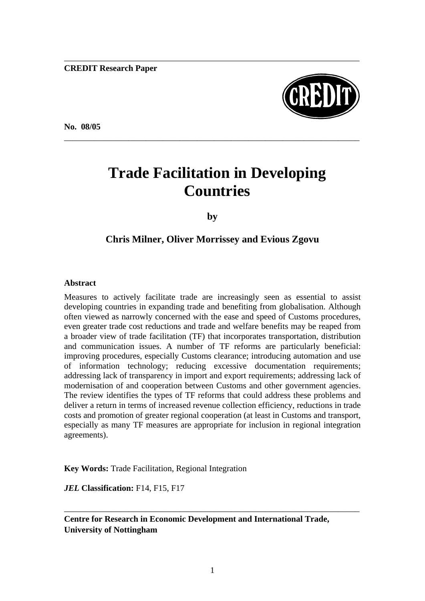**CREDIT Research Paper**

**No. 08/05** 



# **Trade Facilitation in Developing Countries**

\_\_\_\_\_\_\_\_\_\_\_\_\_\_\_\_\_\_\_\_\_\_\_\_\_\_\_\_\_\_\_\_\_\_\_\_\_\_\_\_\_\_\_\_\_\_\_\_\_\_\_\_\_\_\_\_\_\_\_\_\_\_\_\_\_\_\_\_\_

\_\_\_\_\_\_\_\_\_\_\_\_\_\_\_\_\_\_\_\_\_\_\_\_\_\_\_\_\_\_\_\_\_\_\_\_\_\_\_\_\_\_\_\_\_\_\_\_\_\_\_\_\_\_\_\_\_\_\_\_\_\_\_\_\_\_\_\_\_

**by** 

## **Chris Milner, Oliver Morrissey and Evious Zgovu**

#### **Abstract**

Measures to actively facilitate trade are increasingly seen as essential to assist developing countries in expanding trade and benefiting from globalisation. Although often viewed as narrowly concerned with the ease and speed of Customs procedures, even greater trade cost reductions and trade and welfare benefits may be reaped from a broader view of trade facilitation (TF) that incorporates transportation, distribution and communication issues. A number of TF reforms are particularly beneficial: improving procedures, especially Customs clearance; introducing automation and use of information technology; reducing excessive documentation requirements; addressing lack of transparency in import and export requirements; addressing lack of modernisation of and cooperation between Customs and other government agencies. The review identifies the types of TF reforms that could address these problems and deliver a return in terms of increased revenue collection efficiency, reductions in trade costs and promotion of greater regional cooperation (at least in Customs and transport, especially as many TF measures are appropriate for inclusion in regional integration agreements).

**Key Words:** Trade Facilitation, Regional Integration

*JEL* **Classification:** F14, F15, F17

**Centre for Research in Economic Development and International Trade, University of Nottingham**

\_\_\_\_\_\_\_\_\_\_\_\_\_\_\_\_\_\_\_\_\_\_\_\_\_\_\_\_\_\_\_\_\_\_\_\_\_\_\_\_\_\_\_\_\_\_\_\_\_\_\_\_\_\_\_\_\_\_\_\_\_\_\_\_\_\_\_\_\_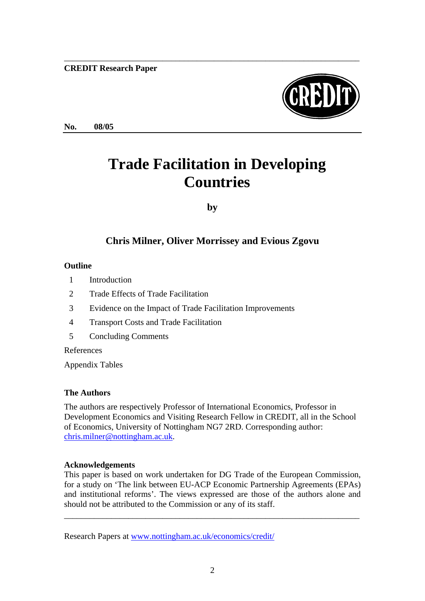#### **CREDIT Research Paper**



**No. 08/05**

# **Trade Facilitation in Developing Countries**

\_\_\_\_\_\_\_\_\_\_\_\_\_\_\_\_\_\_\_\_\_\_\_\_\_\_\_\_\_\_\_\_\_\_\_\_\_\_\_\_\_\_\_\_\_\_\_\_\_\_\_\_\_\_\_\_\_\_\_\_\_\_\_\_\_\_\_\_\_

**by** 

# **Chris Milner, Oliver Morrissey and Evious Zgovu**

#### **Outline**

- 1 Introduction
- 2 Trade Effects of Trade Facilitation
- 3 Evidence on the Impact of Trade Facilitation Improvements
- 4 Transport Costs and Trade Facilitation
- 5 Concluding Comments

References

Appendix Tables

### **The Authors**

The authors are respectively Professor of International Economics, Professor in Development Economics and Visiting Research Fellow in CREDIT, all in the School of Economics, University of Nottingham NG7 2RD. Corresponding author: chris.milner@nottingham.ac.uk.

### **Acknowledgements**

This paper is based on work undertaken for DG Trade of the European Commission, for a study on 'The link between EU-ACP Economic Partnership Agreements (EPAs) and institutional reforms'. The views expressed are those of the authors alone and should not be attributed to the Commission or any of its staff.

\_\_\_\_\_\_\_\_\_\_\_\_\_\_\_\_\_\_\_\_\_\_\_\_\_\_\_\_\_\_\_\_\_\_\_\_\_\_\_\_\_\_\_\_\_\_\_\_\_\_\_\_\_\_\_\_\_\_\_\_\_\_\_\_\_\_\_\_\_

Research Papers at www.nottingham.ac.uk/economics/credit/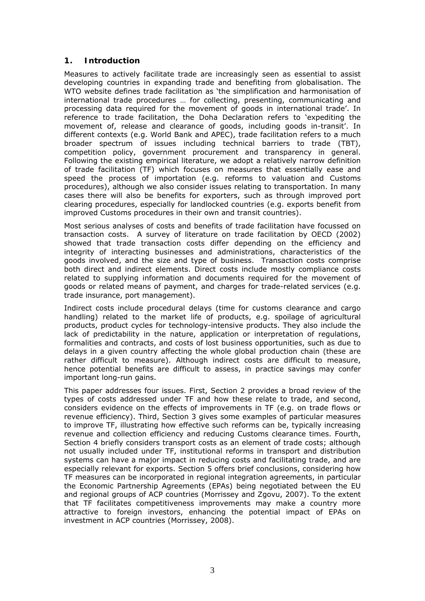#### **1. Introduction**

Measures to actively facilitate trade are increasingly seen as essential to assist developing countries in expanding trade and benefiting from globalisation. The WTO website defines trade facilitation as 'the simplification and harmonisation of international trade procedures … for collecting, presenting, communicating and processing data required for the movement of goods in international trade'. In reference to trade facilitation, the Doha Declaration refers to 'expediting the movement of, release and clearance of goods, including goods in-transit'. In different contexts (e.g. World Bank and APEC), trade facilitation refers to a much broader spectrum of issues including technical barriers to trade (TBT), competition policy, government procurement and transparency in general. Following the existing empirical literature, we adopt a relatively narrow definition of trade facilitation (TF) which focuses on measures that essentially ease and speed the process of importation (e.g. reforms to valuation and Customs procedures), although we also consider issues relating to transportation. In many cases there will also be benefits for exporters, such as through improved port clearing procedures, especially for landlocked countries (e.g. exports benefit from improved Customs procedures in their own and transit countries).

Most serious analyses of costs and benefits of trade facilitation have focussed on transaction costs. A survey of literature on trade facilitation by OECD (2002) showed that trade transaction costs differ depending on the efficiency and integrity of interacting businesses and administrations, characteristics of the goods involved, and the size and type of business. Transaction costs comprise both direct and indirect elements. Direct costs include mostly compliance costs related to supplying information and documents required for the movement of goods or related means of payment, and charges for trade-related services (e.g. trade insurance, port management).

Indirect costs include procedural delays (time for customs clearance and cargo handling) related to the market life of products, e.g. spoilage of agricultural products, product cycles for technology-intensive products. They also include the lack of predictability in the nature, application or interpretation of regulations, formalities and contracts, and costs of lost business opportunities, such as due to delays in a given country affecting the whole global production chain (these are rather difficult to measure). Although indirect costs are difficult to measure, hence potential benefits are difficult to assess, in practice savings may confer important long-run gains.

This paper addresses four issues. First, Section 2 provides a broad review of the types of costs addressed under TF and how these relate to trade, and second, considers evidence on the effects of improvements in TF (e.g. on trade flows or revenue efficiency). Third, Section 3 gives some examples of particular measures to improve TF, illustrating how effective such reforms can be, typically increasing revenue and collection efficiency and reducing Customs clearance times. Fourth, Section 4 briefly considers transport costs as an element of trade costs; although not usually included under TF, institutional reforms in transport and distribution systems can have a major impact in reducing costs and facilitating trade, and are especially relevant for exports. Section 5 offers brief conclusions, considering how TF measures can be incorporated in regional integration agreements, in particular the Economic Partnership Agreements (EPAs) being negotiated between the EU and regional groups of ACP countries (Morrissey and Zgovu, 2007). To the extent that TF facilitates competitiveness improvements may make a country more attractive to foreign investors, enhancing the potential impact of EPAs on investment in ACP countries (Morrissey, 2008).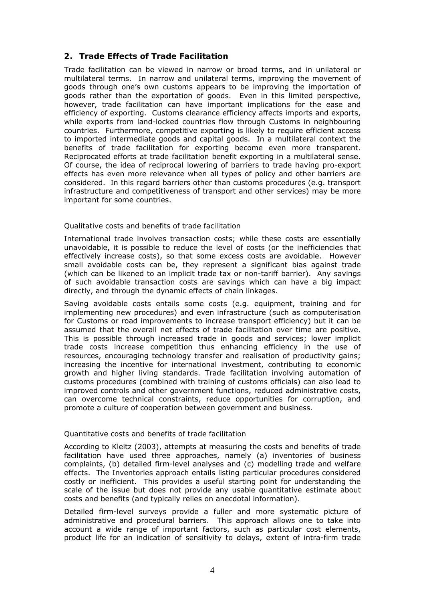#### **2. Trade Effects of Trade Facilitation**

Trade facilitation can be viewed in narrow or broad terms, and in unilateral or multilateral terms. In narrow and unilateral terms, improving the movement of goods through one's own customs appears to be improving the importation of goods rather than the exportation of goods. Even in this limited perspective, however, trade facilitation can have important implications for the ease and efficiency of exporting. Customs clearance efficiency affects imports and exports, while exports from land-locked countries flow through Customs in neighbouring countries. Furthermore, competitive exporting is likely to require efficient access to imported intermediate goods and capital goods. In a multilateral context the benefits of trade facilitation for exporting become even more transparent. Reciprocated efforts at trade facilitation benefit exporting in a multilateral sense. Of course, the idea of reciprocal lowering of barriers to trade having pro-export effects has even more relevance when all types of policy and other barriers are considered. In this regard barriers other than customs procedures (e.g. transport infrastructure and competitiveness of transport and other services) may be more important for some countries.

#### *Qualitative costs and benefits of trade facilitation*

International trade involves transaction costs; while these costs are essentially unavoidable, it is possible to reduce the level of costs (or the inefficiencies that effectively increase costs), so that some excess costs are avoidable. However small avoidable costs can be, they represent a significant bias against trade (which can be likened to an implicit trade tax or non-tariff barrier). Any savings of such avoidable transaction costs are savings which can have a big impact directly, and through the dynamic effects of chain linkages.

Saving avoidable costs entails some costs (e.g. equipment, training and for implementing new procedures) and even infrastructure (such as computerisation for Customs or road improvements to increase transport efficiency) but it can be assumed that the overall net effects of trade facilitation over time are positive. This is possible through increased trade in goods and services; lower implicit trade costs increase competition thus enhancing efficiency in the use of resources, encouraging technology transfer and realisation of productivity gains; increasing the incentive for international investment, contributing to economic growth and higher living standards. Trade facilitation involving automation of customs procedures (combined with training of customs officials) can also lead to improved controls and other government functions, reduced administrative costs, can overcome technical constraints, reduce opportunities for corruption, and promote a culture of cooperation between government and business.

#### *Quantitative costs and benefits of trade facilitation*

According to Kleitz (2003), attempts at measuring the costs and benefits of trade facilitation have used three approaches, namely (a) inventories of business complaints, (b) detailed firm-level analyses and (c) modelling trade and welfare effects. The Inventories approach entails listing particular procedures considered costly or inefficient. This provides a useful starting point for understanding the scale of the issue but does not provide any usable quantitative estimate about costs and benefits (and typically relies on anecdotal information).

Detailed firm-level surveys provide a fuller and more systematic picture of administrative and procedural barriers. This approach allows one to take into account a wide range of important factors, such as particular cost elements, product life for an indication of sensitivity to delays, extent of intra-firm trade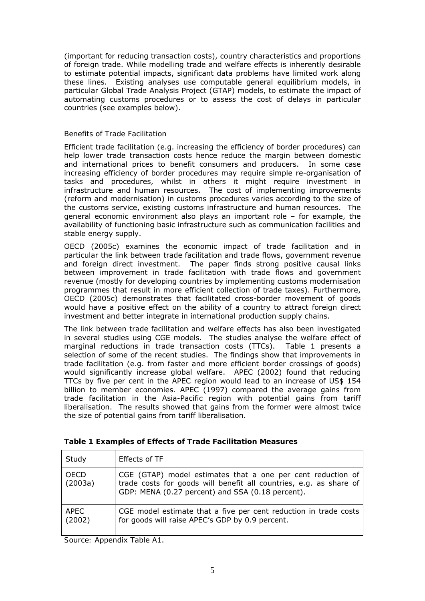(important for reducing transaction costs), country characteristics and proportions of foreign trade. While modelling trade and welfare effects is inherently desirable to estimate potential impacts, significant data problems have limited work along these lines. Existing analyses use computable general equilibrium models, in particular Global Trade Analysis Project (GTAP) models, to estimate the impact of automating customs procedures or to assess the cost of delays in particular countries (see examples below).

#### *Benefits of Trade Facilitation*

Efficient trade facilitation (e.g. increasing the efficiency of border procedures) can help lower trade transaction costs hence reduce the margin between domestic and international prices to benefit consumers and producers. In some case increasing efficiency of border procedures may require simple re-organisation of tasks and procedures, whilst in others it might require investment in infrastructure and human resources. The cost of implementing improvements (reform and modernisation) in customs procedures varies according to the size of the customs service, existing customs infrastructure and human resources. The general economic environment also plays an important role – for example, the availability of functioning basic infrastructure such as communication facilities and stable energy supply.

OECD (2005c) examines the economic impact of trade facilitation and in particular the link between trade facilitation and trade flows, government revenue and foreign direct investment. The paper finds strong positive causal links between improvement in trade facilitation with trade flows and government revenue (mostly for developing countries by implementing customs modernisation programmes that result in more efficient collection of trade taxes). Furthermore, OECD (2005c) demonstrates that facilitated cross-border movement of goods would have a positive effect on the ability of a country to attract foreign direct investment and better integrate in international production supply chains.

The link between trade facilitation and welfare effects has also been investigated in several studies using CGE models. The studies analyse the welfare effect of marginal reductions in trade transaction costs (TTCs). Table 1 presents a selection of some of the recent studies. The findings show that improvements in trade facilitation (e.g. from faster and more efficient border crossings of goods) would significantly increase global welfare. APEC (2002) found that reducing TTCs by five per cent in the APEC region would lead to an increase of US\$ 154 billion to member economies. APEC (1997) compared the average gains from trade facilitation in the Asia-Pacific region with potential gains from tariff liberalisation. The results showed that gains from the former were almost twice the size of potential gains from tariff liberalisation.

| Study                  | Effects of TF                                                                                                                                                                         |
|------------------------|---------------------------------------------------------------------------------------------------------------------------------------------------------------------------------------|
| <b>OECD</b><br>(2003a) | CGE (GTAP) model estimates that a one per cent reduction of<br>trade costs for goods will benefit all countries, e.g. as share of<br>GDP: MENA (0.27 percent) and SSA (0.18 percent). |
| APEC<br>(2002)         | CGE model estimate that a five per cent reduction in trade costs<br>for goods will raise APEC's GDP by 0.9 percent.                                                                   |

| Table 1 Examples of Effects of Trade Facilitation Measures |  |  |  |
|------------------------------------------------------------|--|--|--|
|------------------------------------------------------------|--|--|--|

*Source:* Appendix Table A1.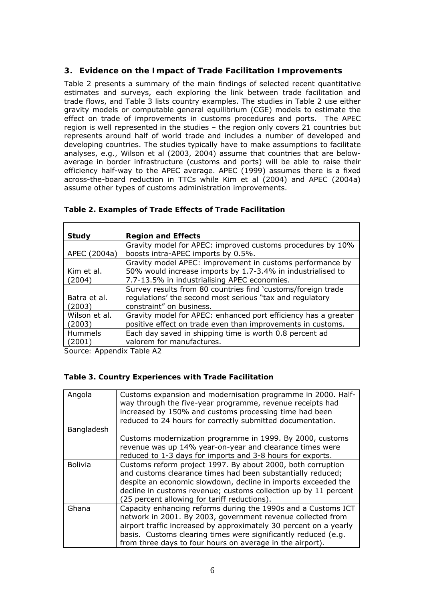#### **3. Evidence on the Impact of Trade Facilitation Improvements**

Table 2 presents a summary of the main findings of selected recent quantitative estimates and surveys, each exploring the link between trade facilitation and trade flows, and Table 3 lists country examples. The studies in Table 2 use either gravity models or computable general equilibrium (CGE) models to estimate the effect on trade of improvements in customs procedures and ports. The APEC region is well represented in the studies – the region only covers 21 countries but represents around half of world trade and includes a number of developed and developing countries. The studies typically have to make assumptions to facilitate analyses, e.g., Wilson *et al* (2003, 2004) assume that countries that are belowaverage in border infrastructure (customs and ports) will be able to raise their efficiency half-way to the APEC average. APEC (1999) assumes there is a fixed across-the-board reduction in TTCs while Kim *et al* (2004) and APEC (2004a) assume other types of customs administration improvements.

| Study         | <b>Region and Effects</b>                                      |
|---------------|----------------------------------------------------------------|
|               | Gravity model for APEC: improved customs procedures by 10%     |
| APEC (2004a)  | boosts intra-APEC imports by 0.5%.                             |
|               | Gravity model APEC: improvement in customs performance by      |
| Kim et al.    | 50% would increase imports by 1.7-3.4% in industrialised to    |
| (2004)        | 7.7-13.5% in industrialising APEC economies.                   |
|               | Survey results from 80 countries find 'customs/foreign trade   |
| Batra et al.  | regulations' the second most serious "tax and regulatory       |
| (2003)        | constraint" on business.                                       |
| Wilson et al. | Gravity model for APEC: enhanced port efficiency has a greater |
| (2003)        | positive effect on trade even than improvements in customs.    |
| Hummels       | Each day saved in shipping time is worth 0.8 percent ad        |
| (2001)        | valorem for manufactures.                                      |
|               |                                                                |

#### **Table 2. Examples of Trade Effects of Trade Facilitation**

*Source:* Appendix Table A2

#### **Table 3. Country Experiences with Trade Facilitation**

| Angola         | Customs expansion and modernisation programme in 2000. Half-<br>way through the five-year programme, revenue receipts had<br>increased by 150% and customs processing time had been<br>reduced to 24 hours for correctly submitted documentation. |
|----------------|---------------------------------------------------------------------------------------------------------------------------------------------------------------------------------------------------------------------------------------------------|
| Bangladesh     |                                                                                                                                                                                                                                                   |
|                | Customs modernization programme in 1999. By 2000, customs                                                                                                                                                                                         |
|                | revenue was up 14% year-on-year and clearance times were                                                                                                                                                                                          |
|                | reduced to 1-3 days for imports and 3-8 hours for exports.                                                                                                                                                                                        |
| <b>Bolivia</b> | Customs reform project 1997. By about 2000, both corruption                                                                                                                                                                                       |
|                | and customs clearance times had been substantially reduced;                                                                                                                                                                                       |
|                | despite an economic slowdown, decline in imports exceeded the                                                                                                                                                                                     |
|                | decline in customs revenue; customs collection up by 11 percent                                                                                                                                                                                   |
|                | (25 percent allowing for tariff reductions).                                                                                                                                                                                                      |
| Ghana          | Capacity enhancing reforms during the 1990s and a Customs ICT                                                                                                                                                                                     |
|                | network in 2001. By 2003, government revenue collected from                                                                                                                                                                                       |
|                | airport traffic increased by approximately 30 percent on a yearly                                                                                                                                                                                 |
|                | basis. Customs clearing times were significantly reduced (e.g.                                                                                                                                                                                    |
|                | from three days to four hours on average in the airport).                                                                                                                                                                                         |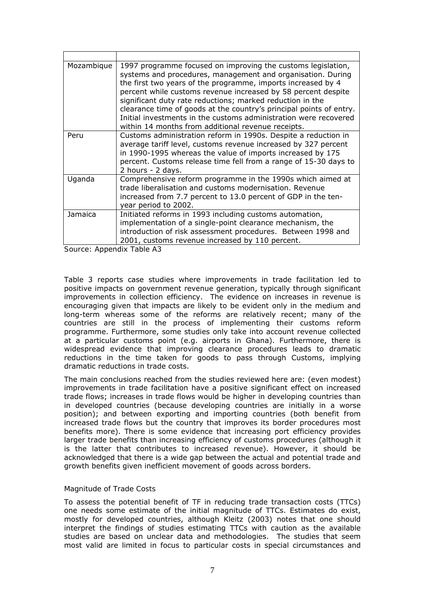| Mozambique | 1997 programme focused on improving the customs legislation,<br>systems and procedures, management and organisation. During<br>the first two years of the programme, imports increased by 4<br>percent while customs revenue increased by 58 percent despite<br>significant duty rate reductions; marked reduction in the<br>clearance time of goods at the country's principal points of entry.<br>Initial investments in the customs administration were recovered<br>within 14 months from additional revenue receipts. |
|------------|----------------------------------------------------------------------------------------------------------------------------------------------------------------------------------------------------------------------------------------------------------------------------------------------------------------------------------------------------------------------------------------------------------------------------------------------------------------------------------------------------------------------------|
| Peru       | Customs administration reform in 1990s. Despite a reduction in<br>average tariff level, customs revenue increased by 327 percent<br>in 1990-1995 whereas the value of imports increased by 175<br>percent. Customs release time fell from a range of 15-30 days to<br>2 hours - 2 days.                                                                                                                                                                                                                                    |
| Uganda     | Comprehensive reform programme in the 1990s which aimed at<br>trade liberalisation and customs modernisation. Revenue<br>increased from 7.7 percent to 13.0 percent of GDP in the ten-<br>year period to 2002.                                                                                                                                                                                                                                                                                                             |
| Jamaica    | Initiated reforms in 1993 including customs automation,<br>implementation of a single-point clearance mechanism, the<br>introduction of risk assessment procedures. Between 1998 and<br>2001, customs revenue increased by 110 percent.                                                                                                                                                                                                                                                                                    |

*Source*: Appendix Table A3

Table 3 reports case studies where improvements in trade facilitation led to positive impacts on government revenue generation, typically through significant improvements in collection efficiency. The evidence on increases in revenue is encouraging given that impacts are likely to be evident only in the medium and long-term whereas some of the reforms are relatively recent; many of the countries are still in the process of implementing their customs reform programme. Furthermore, some studies only take into account revenue collected at a particular customs point (e.g. airports in Ghana). Furthermore, there is widespread evidence that improving clearance procedures leads to dramatic reductions in the time taken for goods to pass through Customs, implying dramatic reductions in trade costs.

The main conclusions reached from the studies reviewed here are: (even modest) improvements in trade facilitation have a positive significant effect on increased trade flows; increases in trade flows would be higher in developing countries than in developed countries (because developing countries are initially in a worse position); and between exporting and importing countries (both benefit from increased trade flows but the country that improves its border procedures most benefits more). There is some evidence that increasing port efficiency provides larger trade benefits than increasing efficiency of customs procedures (although it is the latter that contributes to increased revenue). However, it should be acknowledged that there is a wide gap between the actual and potential trade and growth benefits given inefficient movement of goods across borders.

#### *Magnitude of Trade Costs*

To assess the potential benefit of TF in reducing trade transaction costs (TTCs) one needs some estimate of the initial magnitude of TTCs. Estimates do exist, mostly for developed countries, although Kleitz (2003) notes that one should interpret the findings of studies estimating TTCs with caution as the available studies are based on unclear data and methodologies. The studies that seem most valid are limited in focus to particular costs in special circumstances and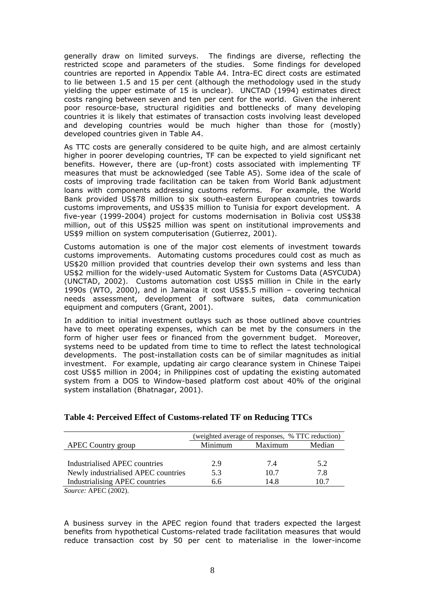generally draw on limited surveys. The findings are diverse, reflecting the restricted scope and parameters of the studies. Some findings for developed countries are reported in Appendix Table A4. Intra-EC direct costs are estimated to lie between 1.5 and 15 per cent (although the methodology used in the study yielding the upper estimate of 15 is unclear). UNCTAD (1994) estimates direct costs ranging between seven and ten per cent for the world. Given the inherent poor resource-base, structural rigidities and bottlenecks of many developing countries it is likely that estimates of transaction costs involving least developed and developing countries would be much higher than those for (mostly) developed countries given in Table A4.

As TTC costs are generally considered to be quite high, and are almost certainly higher in poorer developing countries, TF can be expected to yield significant net benefits. However, there are (up-front) costs associated with implementing TF measures that must be acknowledged (see Table A5). Some idea of the scale of costs of improving trade facilitation can be taken from World Bank adjustment loans with components addressing customs reforms. For example, the World Bank provided US\$78 million to six south-eastern European countries towards customs improvements, and US\$35 million to Tunisia for export development. A five-year (1999-2004) project for customs modernisation in Bolivia cost US\$38 million, out of this US\$25 million was spent on institutional improvements and US\$9 million on system computerisation (Gutierrez, 2001).

Customs automation is one of the major cost elements of investment towards customs improvements. Automating customs procedures could cost as much as US\$20 million provided that countries develop their own systems and less than US\$2 million for the widely-used Automatic System for Customs Data (ASYCUDA) (UNCTAD, 2002). Customs automation cost US\$5 million in Chile in the early 1990s (WTO, 2000), and in Jamaica it cost US\$5.5 million – covering technical needs assessment, development of software suites, data communication equipment and computers (Grant, 2001).

In addition to initial investment outlays such as those outlined above countries have to meet operating expenses, which can be met by the consumers in the form of higher user fees or financed from the government budget. Moreover, systems need to be updated from time to time to reflect the latest technological developments. The post-installation costs can be of similar magnitudes as initial investment. For example, updating air cargo clearance system in Chinese Taipei cost US\$5 million in 2004; in Philippines cost of updating the existing automated system from a DOS to Window-based platform cost about 40% of the original system installation (Bhatnagar, 2001).

|                                       | (weighted average of responses, % TTC reduction) |         |        |
|---------------------------------------|--------------------------------------------------|---------|--------|
| <b>APEC Country group</b>             | Minimum                                          | Maximum | Median |
|                                       |                                                  |         |        |
| Industrialised APEC countries         | 2.9                                              | 7.4     | 5.2    |
| Newly industrialised APEC countries   | 5.3                                              | 10.7    | 7.8    |
| <b>Industrialising APEC countries</b> | 6 ճ                                              | 14 8    | 10 7   |

#### **Table 4: Perceived Effect of Customs-related TF on Reducing TTCs**

*Source:* APEC (2002).

A business survey in the APEC region found that traders expected the largest benefits from hypothetical Customs-related trade facilitation measures that would reduce transaction cost by 50 per cent to materialise in the lower-income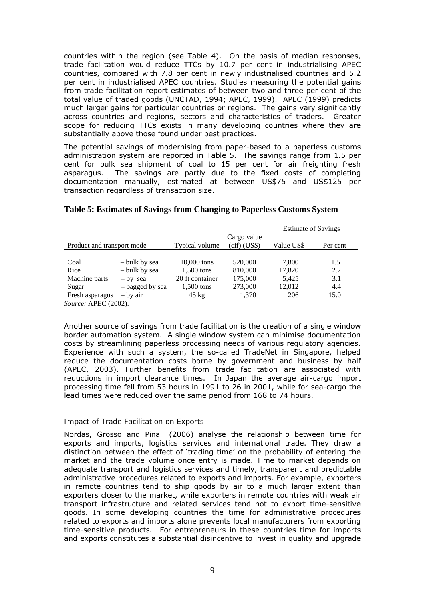countries within the region (see Table 4). On the basis of median responses, trade facilitation would reduce TTCs by 10.7 per cent in industrialising APEC countries, compared with 7.8 per cent in newly industrialised countries and 5.2 per cent in industrialised APEC countries. Studies measuring the potential gains from trade facilitation report estimates of between two and three per cent of the total value of traded goods (UNCTAD, 1994; APEC, 1999). APEC (1999) predicts much larger gains for particular countries or regions. The gains vary significantly across countries and regions, sectors and characteristics of traders. Greater scope for reducing TTCs exists in many developing countries where they are substantially above those found under best practices.

The potential savings of modernising from paper-based to a paperless customs administration system are reported in Table 5. The savings range from 1.5 per cent for bulk sea shipment of coal to 15 per cent for air freighting fresh asparagus. The savings are partly due to the fixed costs of completing documentation manually, estimated at between US\$75 and US\$125 per transaction regardless of transaction size.

|                            |                 |                 |                               | <b>Estimate of Savings</b> |          |
|----------------------------|-----------------|-----------------|-------------------------------|----------------------------|----------|
| Product and transport mode |                 | Typical volume  | Cargo value<br>$(cif)$ (US\$) | Value US\$                 | Per cent |
|                            |                 |                 |                               |                            |          |
| Coal                       | – bulk by sea   | 10,000 tons     | 520,000                       | 7,800                      | 1.5      |
| Rice                       | - bulk by sea   | 1,500 tons      | 810,000                       | 17,820                     | 2.2      |
| Machine parts              | $-$ by sea      | 20 ft container | 175,000                       | 5,425                      | 3.1      |
| Sugar                      | - bagged by sea | $1,500$ tons    | 273,000                       | 12,012                     | 4.4      |
| Fresh asparagus            | $-$ by air      | $45 \text{ kg}$ | 1,370                         | 206                        | 15.0     |

#### **Table 5: Estimates of Savings from Changing to Paperless Customs System**

*Source:* APEC (2002).

Another source of savings from trade facilitation is the creation of a single window border automation system. A single window system can minimise documentation costs by streamlining paperless processing needs of various regulatory agencies. Experience with such a system, the so-called TradeNet in Singapore, helped reduce the documentation costs borne by government and business by half (APEC, 2003). Further benefits from trade facilitation are associated with reductions in import clearance times. In Japan the average air-cargo import processing time fell from 53 hours in 1991 to 26 in 2001, while for sea-cargo the lead times were reduced over the same period from 168 to 74 hours.

#### *Impact of Trade Facilitation on Exports*

Nordas, Grosso and Pinali (2006) analyse the relationship between time for exports and imports, logistics services and international trade. They draw a distinction between the effect of 'trading time' on the probability of entering the market and the trade volume once entry is made. Time to market depends on adequate transport and logistics services and timely, transparent and predictable administrative procedures related to exports and imports. For example, exporters in remote countries tend to ship goods by air to a much larger extent than exporters closer to the market, while exporters in remote countries with weak air transport infrastructure and related services tend not to export time-sensitive goods. In some developing countries the time for administrative procedures related to exports and imports *alone* prevents local manufacturers from exporting time-sensitive products. For entrepreneurs in these countries time for imports and exports constitutes a substantial disincentive to invest in quality and upgrade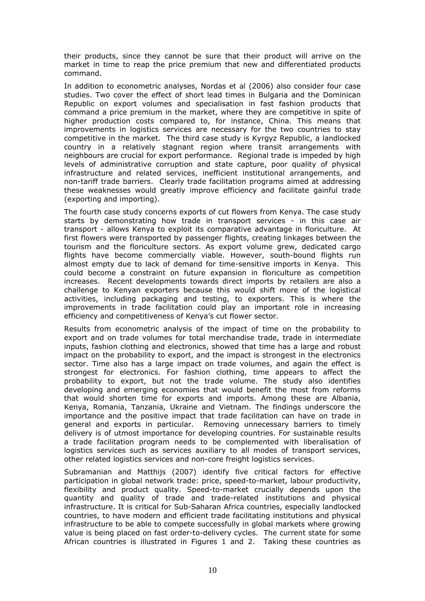their products, since they cannot be sure that their product will arrive on the market in time to reap the price premium that new and differentiated products command.

In addition to econometric analyses, Nordas *et al* (2006) also consider four case studies. Two cover the effect of short lead times in Bulgaria and the Dominican Republic on export volumes and specialisation in fast fashion products that command a price premium in the market, where they are competitive in spite of higher production costs compared to, for instance, China. This means that improvements in logistics services are necessary for the two countries to stay competitive in the market. The third case study is Kyrgyz Republic, a landlocked country in a relatively stagnant region where transit arrangements with neighbours are crucial for export performance. Regional trade is impeded by high levels of administrative corruption and state capture, poor quality of physical infrastructure and related services, inefficient institutional arrangements, and non-tariff trade barriers. Clearly trade facilitation programs aimed at addressing these weaknesses would greatly improve efficiency and facilitate gainful trade (exporting and importing).

The fourth case study concerns exports of cut flowers from Kenya. The case study starts by demonstrating how trade in transport services - in this case air transport - allows Kenya to exploit its comparative advantage in floriculture. At first flowers were transported by passenger flights, creating linkages between the tourism and the floriculture sectors. As export volume grew, dedicated cargo flights have become commercially viable. However, south-bound flights run almost empty due to lack of demand for time-sensitive imports in Kenya. This could become a constraint on future expansion in floriculture as competition increases. Recent developments towards direct imports by retailers are also a challenge to Kenyan exporters because this would shift more of the logistical activities, including packaging and testing, to exporters. This is where the improvements in trade facilitation could play an important role in increasing efficiency and competitiveness of Kenya's cut flower sector.

Results from econometric analysis of the impact of time on the probability to export and on trade volumes for total merchandise trade, trade in intermediate inputs, fashion clothing and electronics, showed that time has a large and robust impact on the probability to export, and the impact is strongest in the electronics sector. Time also has a large impact on trade volumes, and again the effect is strongest for electronics. For fashion clothing, time appears to affect the probability to export, but not the trade volume. The study also identifies developing and emerging economies that would benefit the most from reforms that would shorten time for exports and imports. Among these are Albania, Kenya, Romania, Tanzania, Ukraine and Vietnam. The findings underscore the importance and the positive impact that trade facilitation can have on trade in general and exports in particular. Removing unnecessary barriers to timely delivery is of utmost importance for developing countries. For sustainable results a trade facilitation program needs to be complemented with liberalisation of logistics services such as services auxiliary to all modes of transport services, other related logistics services and non-core freight logistics services.

Subramanian and Matthijs (2007) identify five critical factors for effective participation in global network trade: price, speed-to-market, labour productivity, flexibility and product quality. Speed-to-market crucially depends upon the quantity and quality of trade and trade-related institutions and physical infrastructure. It is critical for Sub-Saharan Africa countries, especially landlocked countries, to have modern and efficient trade facilitating institutions and physical infrastructure to be able to compete successfully in global markets where growing value is being placed on fast order-to-delivery cycles. The current state for some African countries is illustrated in Figures 1 and 2. Taking these countries as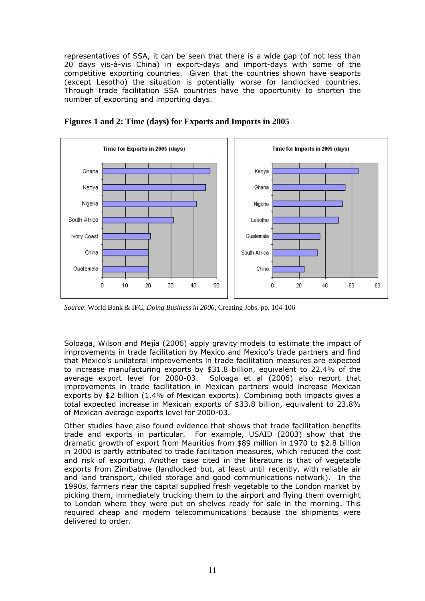representatives of SSA, it can be seen that there is a wide gap (of not less than 20 days vis-à-vis China) in export-days and import-days with some of the competitive exporting countries. Given that the countries shown have seaports (except Lesotho) the situation is potentially worse for landlocked countries. Through trade facilitation SSA countries have the opportunity to shorten the number of exporting and importing days.



**Figures 1 and 2: Time (days) for Exports and Imports in 2005** 

*Source*: World Bank & IFC, *Doing Business in 2006*, Creating Jobs, pp. 104-106

Soloaga, Wilson and Mejía (2006) apply gravity models to estimate the impact of improvements in trade facilitation by Mexico and Mexico's trade partners and find that Mexico's unilateral improvements in trade facilitation measures are expected to increase manufacturing exports by \$31.8 billion, equivalent to 22.4% of the average export level for 2000-03. Soloaga *et al* (2006) also report that improvements in trade facilitation in Mexican partners would increase Mexican exports by \$2 billion (1.4% of Mexican exports). Combining both impacts gives a total expected increase in Mexican exports of \$33.8 billion, equivalent to 23.8% of Mexican average exports level for 2000-03.

Other studies have also found evidence that shows that trade facilitation benefits trade and exports in particular. For example, USAID (2003) show that the dramatic growth of export from Mauritius from \$89 million in 1970 to \$2.8 billion in 2000 is partly attributed to trade facilitation measures, which reduced the cost and risk of exporting. Another case cited in the literature is that of vegetable exports from Zimbabwe (landlocked but, at least until recently, with reliable air and land transport, chilled storage and good communications network). In the 1990s, farmers near the capital supplied fresh vegetable to the London market by picking them, immediately trucking them to the airport and flying them overnight to London where they were put on shelves ready for sale in the morning. This required cheap and modern telecommunications because the shipments were delivered to order.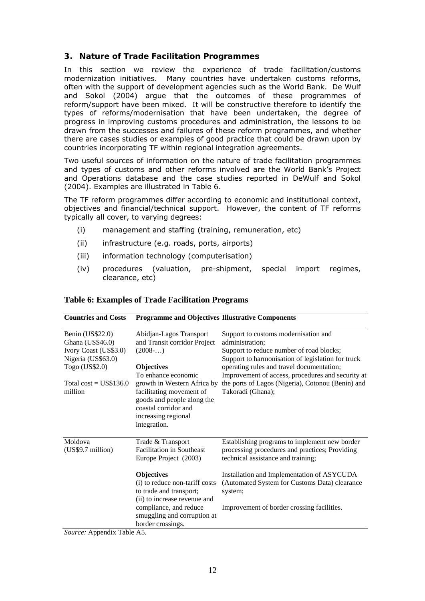#### **3. Nature of Trade Facilitation Programmes**

In this section we review the experience of trade facilitation/customs modernization initiatives. Many countries have undertaken customs reforms, often with the support of development agencies such as the World Bank. De Wulf and Sokol (2004) argue that the outcomes of these programmes of reform/support have been mixed. It will be constructive therefore to identify the types of reforms/modernisation that have been undertaken, the degree of progress in improving customs procedures and administration, the lessons to be drawn from the successes and failures of these reform programmes, and whether there are cases studies or examples of good practice that could be drawn upon by countries incorporating TF within regional integration agreements.

Two useful sources of information on the nature of trade facilitation programmes and types of customs and other reforms involved are the World Bank's Project and Operations database and the case studies reported in DeWulf and Sokol (2004). Examples are illustrated in Table 6.

The TF reform programmes differ according to economic and institutional context, objectives and financial/technical support. However, the content of TF reforms typically all cover, to varying degrees:

- (i) management and staffing (training, remuneration, etc)
- (ii) infrastructure (e.g. roads, ports, airports)
- (iii) information technology (computerisation)
- (iv) procedures (valuation, pre-shipment, special import regimes, clearance, etc)

| <b>Countries and Costs</b>                                                          | <b>Programme and Objectives Illustrative Components</b>                                                                                              |                                                                                                                                                          |
|-------------------------------------------------------------------------------------|------------------------------------------------------------------------------------------------------------------------------------------------------|----------------------------------------------------------------------------------------------------------------------------------------------------------|
| Benin (US\$22.0)<br>Ghana (US\$46.0)<br>Ivory Coast (US\$3.0)<br>Nigeria (US\$63.0) | Abidjan-Lagos Transport<br>and Transit corridor Project<br>$(2008\dots)$                                                                             | Support to customs modernisation and<br>administration;<br>Support to reduce number of road blocks;<br>Support to harmonisation of legislation for truck |
| Togo (US\$2.0)                                                                      | <b>Objectives</b><br>To enhance economic                                                                                                             | operating rules and travel documentation;<br>Improvement of access, procedures and security at                                                           |
| Total $cost = US$136.0$<br>million                                                  | growth in Western Africa by<br>facilitating movement of<br>goods and people along the<br>coastal corridor and<br>increasing regional<br>integration. | the ports of Lagos (Nigeria), Cotonou (Benin) and<br>Takoradi (Ghana);                                                                                   |
| Moldova<br>(US\$9.7 million)                                                        | Trade & Transport<br><b>Facilitation in Southeast</b><br>Europe Project (2003)                                                                       | Establishing programs to implement new border<br>processing procedures and practices; Providing<br>technical assistance and training;                    |
|                                                                                     | <b>Objectives</b><br>(i) to reduce non-tariff costs<br>to trade and transport;<br>(ii) to increase revenue and                                       | Installation and Implementation of ASYCUDA<br>(Automated System for Customs Data) clearance<br>system;                                                   |
|                                                                                     | compliance, and reduce<br>smuggling and corruption at<br>border crossings.                                                                           | Improvement of border crossing facilities.                                                                                                               |

#### **Table 6: Examples of Trade Facilitation Programs**

*Source:* Appendix Table A5*.*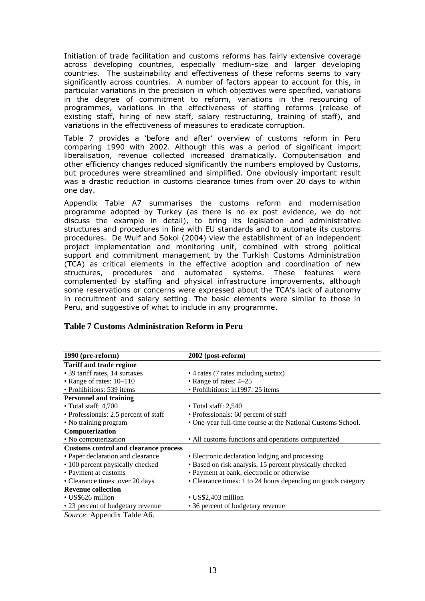Initiation of trade facilitation and customs reforms has fairly extensive coverage across developing countries, especially medium-size and larger developing countries. The sustainability and effectiveness of these reforms seems to vary significantly across countries. A number of factors appear to account for this, in particular variations in the precision in which objectives were specified, variations in the degree of commitment to reform, variations in the resourcing of programmes, variations in the effectiveness of staffing reforms (release of existing staff, hiring of new staff, salary restructuring, training of staff), and variations in the effectiveness of measures to eradicate corruption.

Table 7 provides a 'before and after' overview of customs reform in Peru comparing 1990 with 2002. Although this was a period of significant import liberalisation, revenue collected increased dramatically. Computerisation and other efficiency changes reduced significantly the numbers employed by Customs, but procedures were streamlined and simplified. One obviously important result was a drastic reduction in customs clearance times from over 20 days to within one day.

Appendix Table A7 summarises the customs reform and modernisation programme adopted by Turkey (as there is no *ex post* evidence, we do not discuss the example in detail), to bring its legislation and administrative structures and procedures in line with EU standards and to automate its customs procedures. De Wulf and Sokol (2004) view the establishment of an independent project implementation and monitoring unit, combined with strong political support and commitment management by the Turkish Customs Administration (TCA) as critical elements in the effective adoption and coordination of new structures, procedures and automated systems. These features were complemented by staffing and physical infrastructure improvements, although some reservations or concerns were expressed about the TCA's lack of autonomy in recruitment and salary setting. The basic elements were similar to those in Peru, and suggestive of what to include in any programme.

| 1990 (pre-reform)                            | 2002 (post-reform)                                           |
|----------------------------------------------|--------------------------------------------------------------|
| <b>Tariff and trade regime</b>               |                                                              |
| • 39 tariff rates, 14 surtaxes               | • 4 rates (7 rates including surtax)                         |
| • Range of rates: $10-110$                   | • Range of rates: 4–25                                       |
| • Prohibitions: 539 items                    | • Prohibitions: in1997: 25 items                             |
| <b>Personnel and training</b>                |                                                              |
| $\cdot$ Total staff: 4,700                   | $\bullet$ Total staff: 2,540                                 |
| • Professionals: 2.5 percent of staff        | • Professionals: 60 percent of staff                         |
| • No training program                        | • One-year full-time course at the National Customs School.  |
| Computerization                              |                                                              |
| • No computerization                         | • All customs functions and operations computerized          |
| <b>Customs control and clearance process</b> |                                                              |
| • Paper declaration and clearance            | • Electronic declaration lodging and processing              |
| • 100 percent physically checked             | • Based on risk analysis, 15 percent physically checked      |
| • Payment at customs                         | • Payment at bank, electronic or otherwise                   |
| • Clearance times: over 20 days              | • Clearance times: 1 to 24 hours depending on goods category |
| <b>Revenue collection</b>                    |                                                              |
| • US\$626 million                            | • US\$2,403 million                                          |
| • 23 percent of budgetary revenue            | • 36 percent of budgetary revenue                            |
| Source: Appendix Table A6.                   |                                                              |

#### **Table 7 Customs Administration Reform in Peru**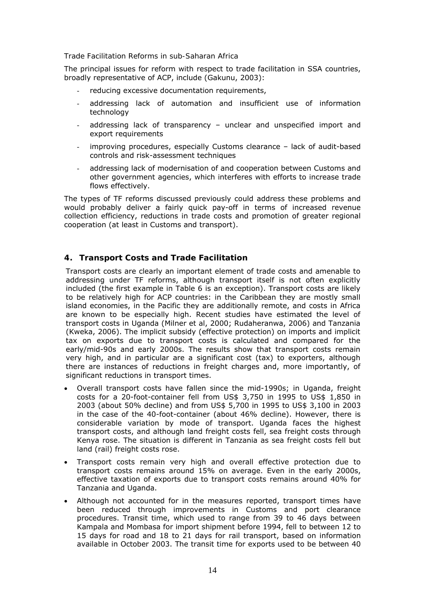#### *Trade Facilitation Reforms in sub-Saharan Africa*

The principal issues for reform with respect to trade facilitation in SSA countries, broadly representative of ACP, include (Gakunu, 2003):

- reducing excessive documentation requirements,
- addressing lack of automation and insufficient use of information technology
- addressing lack of transparency unclear and unspecified import and export requirements
- improving procedures, especially Customs clearance lack of audit-based controls and risk-assessment techniques
- addressing lack of modernisation of and cooperation between Customs and other government agencies, which interferes with efforts to increase trade flows effectively.

The types of TF reforms discussed previously could address these problems and would probably deliver a fairly quick pay-off in terms of increased revenue collection efficiency, reductions in trade costs and promotion of greater regional cooperation (at least in Customs and transport).

#### **4. Transport Costs and Trade Facilitation**

Transport costs are clearly an important element of trade costs and amenable to addressing under TF reforms, although transport itself is not often explicitly included (the first example in Table 6 is an exception). Transport costs are likely to be relatively high for ACP countries: in the Caribbean they are mostly small island economies, in the Pacific they are additionally remote, and costs in Africa are known to be especially high. Recent studies have estimated the level of transport costs in Uganda (Milner *et al*, 2000; Rudaheranwa, 2006) and Tanzania (Kweka, 2006). The implicit subsidy (effective protection) on imports and implicit tax on exports due to transport costs is calculated and compared for the early/mid-90s and early 2000s. The results show that transport costs remain very high, and in particular are a significant cost (tax) to exporters, although there are instances of reductions in freight charges and, more importantly, of significant reductions in transport times.

- Overall transport costs have fallen since the mid-1990s; in Uganda, freight costs for a 20-foot-container fell from US\$ 3,750 in 1995 to US\$ 1,850 in 2003 (about 50% decline) and from US\$ 5,700 in 1995 to US\$ 3,100 in 2003 in the case of the 40-foot-container (about 46% decline). However, there is considerable variation by mode of transport. Uganda faces the highest transport costs, and although land freight costs fell, sea freight costs through Kenya rose. The situation is different in Tanzania as sea freight costs fell but land (rail) freight costs rose.
- Transport costs remain very high and overall effective protection due to transport costs remains around 15% on average. Even in the early 2000s, effective taxation of exports due to transport costs remains around 40% for Tanzania and Uganda.
- Although not accounted for in the measures reported, transport times have been reduced through improvements in Customs and port clearance procedures. Transit time, which used to range from 39 to 46 days between Kampala and Mombasa for import shipment before 1994, fell to between 12 to 15 days for road and 18 to 21 days for rail transport, based on information available in October 2003. The transit time for exports used to be between 40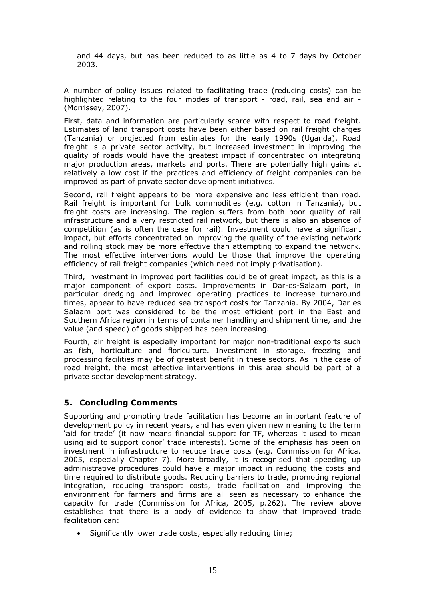and 44 days, but has been reduced to as little as 4 to 7 days by October 2003.

A number of policy issues related to facilitating trade (reducing costs) can be highlighted relating to the four modes of transport - road, rail, sea and air - (Morrissey, 2007).

First, data and information are particularly scarce with respect to road freight. Estimates of land transport costs have been either based on rail freight charges (Tanzania) or projected from estimates for the early 1990s (Uganda). Road freight is a private sector activity, but increased investment in improving the quality of roads would have the greatest impact if concentrated on integrating major production areas, markets and ports. There are potentially high gains at relatively a low cost if the practices and efficiency of freight companies can be improved as part of private sector development initiatives.

Second, rail freight appears to be more expensive and less efficient than road. Rail freight is important for bulk commodities (e.g. cotton in Tanzania), but freight costs are increasing. The region suffers from both poor quality of rail infrastructure and a very restricted rail network, but there is also an absence of competition (as is often the case for rail). Investment could have a significant impact, but efforts concentrated on improving the quality of the existing network and rolling stock may be more effective than attempting to expand the network. The most effective interventions would be those that improve the operating efficiency of rail freight companies (which need not imply privatisation).

Third, investment in improved port facilities could be of great impact, as this is a major component of export costs. Improvements in Dar-es-Salaam port, in particular dredging and improved operating practices to increase turnaround times, appear to have reduced sea transport costs for Tanzania. By 2004, Dar es Salaam port was considered to be the most efficient port in the East and Southern Africa region in terms of container handling and shipment time, and the value (and speed) of goods shipped has been increasing.

Fourth, air freight is especially important for major non-traditional exports such as fish, horticulture and floriculture. Investment in storage, freezing and processing facilities may be of greatest benefit in these sectors. As in the case of road freight, the most effective interventions in this area should be part of a private sector development strategy.

#### **5. Concluding Comments**

Supporting and promoting trade facilitation has become an important feature of development policy in recent years, and has even given new meaning to the term 'aid for trade' (it now means financial support for TF, whereas it used to mean using aid to support donor' trade interests). Some of the emphasis has been on investment in infrastructure to reduce trade costs (e.g. Commission for Africa, 2005, especially Chapter 7). More broadly, it is recognised that speeding up administrative procedures could have a major impact in reducing the costs and time required to distribute goods. Reducing barriers to trade, promoting regional integration, reducing transport costs, trade facilitation and improving the environment for farmers and firms are all seen as necessary to enhance the capacity for trade (Commission for Africa, 2005, p.262). The review above establishes that there is a body of evidence to show that improved trade facilitation can:

• Significantly lower trade costs, especially reducing time;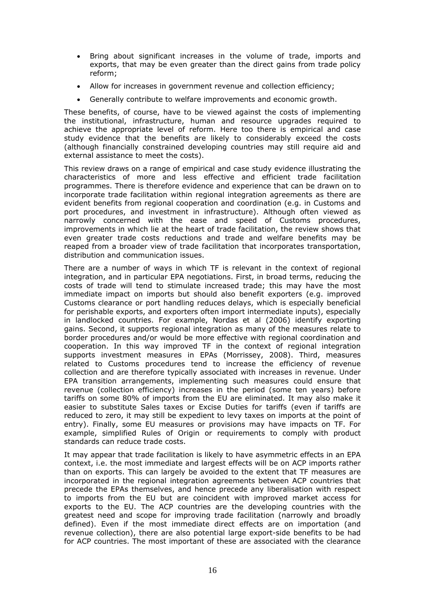- Bring about significant increases in the volume of trade, imports and exports, that may be even greater than the direct gains from trade policy reform;
- Allow for increases in government revenue and collection efficiency;
- Generally contribute to welfare improvements and economic growth.

These benefits, of course, have to be viewed against the costs of implementing the institutional, infrastructure, human and resource upgrades required to achieve the appropriate level of reform. Here too there is empirical and case study evidence that the benefits are likely to considerably exceed the costs (although financially constrained developing countries may still require aid and external assistance to meet the costs).

This review draws on a range of empirical and case study evidence illustrating the characteristics of more and less effective and efficient trade facilitation programmes. There is therefore evidence and experience that can be drawn on to incorporate trade facilitation within regional integration agreements as there are evident benefits from regional cooperation and coordination (e.g. in Customs and port procedures, and investment in infrastructure). Although often viewed as narrowly concerned with the ease and speed of Customs procedures, improvements in which lie at the heart of trade facilitation, the review shows that even greater trade costs reductions and trade and welfare benefits may be reaped from a broader view of trade facilitation that incorporates transportation, distribution and communication issues.

There are a number of ways in which TF is relevant in the context of regional integration, and in particular EPA negotiations. First, in broad terms, reducing the costs of trade will tend to stimulate increased trade; this may have the most immediate impact on imports but should also benefit exporters (e.g. improved Customs clearance or port handling reduces delays, which is especially beneficial for perishable exports, and exporters often import intermediate inputs), especially in landlocked countries. For example, Nordas *et al* (2006) identify exporting gains. Second, it supports regional integration as many of the measures relate to border procedures and/or would be more effective with regional coordination and cooperation. In this way improved TF in the context of regional integration supports investment measures in EPAs (Morrissey, 2008). Third, measures related to Customs procedures tend to increase the efficiency of revenue collection and are therefore typically associated with increases in revenue. Under EPA transition arrangements, implementing such measures could ensure that revenue (collection efficiency) increases in the period (some ten years) before tariffs on some 80% of imports from the EU are eliminated. It may also make it easier to substitute Sales taxes or Excise Duties for tariffs (even if tariffs are reduced to zero, it may still be expedient to levy taxes on imports at the point of entry). Finally, some EU measures or provisions may have impacts on TF. For example, simplified Rules of Origin or requirements to comply with product standards can reduce trade costs.

It may appear that trade facilitation is likely to have asymmetric effects in an EPA context, i.e. the most immediate and largest effects will be on ACP imports rather than on exports. This can largely be avoided to the extent that TF measures are incorporated in the regional integration agreements between ACP countries that precede the EPAs themselves, and hence precede any liberalisation with respect to imports from the EU but are coincident with improved market access for exports to the EU. The ACP countries are the developing countries with the greatest need and scope for improving trade facilitation (narrowly and broadly defined). Even if the most immediate direct effects are on importation (and revenue collection), there are also potential large export-side benefits to be had for ACP countries. The most important of these are associated with the clearance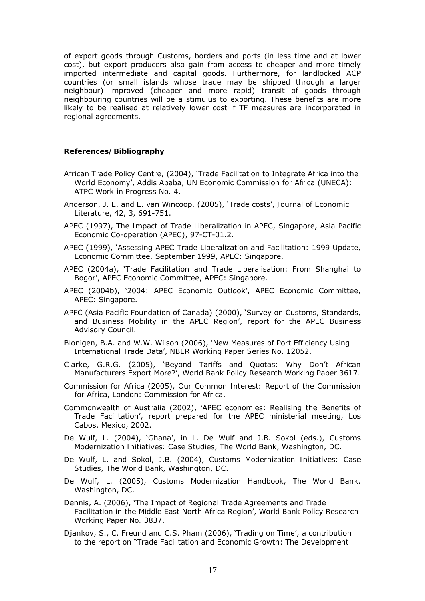of export goods through Customs, borders and ports (in less time and at lower cost), but export producers also gain from access to cheaper and more timely imported intermediate and capital goods. Furthermore, for landlocked ACP countries (or small islands whose trade may be shipped through a larger neighbour) improved (cheaper and more rapid) transit of goods through neighbouring countries will be a stimulus to exporting. These benefits are more likely to be realised at relatively lower cost if TF measures are incorporated in regional agreements.

#### **References/Bibliography**

- African Trade Policy Centre, (2004), 'Trade Facilitation to Integrate Africa into the World Economy', Addis Ababa, UN Economic Commission for Africa (UNECA): *ATPC Work in Progress No. 4*.
- Anderson, J. E. and E. van Wincoop, (2005), 'Trade costs', *Journal of Economic Literature*, 42, 3, 691-751.
- APEC (1997), *The Impact of Trade Liberalization in APEC*, Singapore, Asia Pacific Economic Co-operation (APEC), 97-CT-01.2.
- APEC (1999), 'Assessing APEC Trade Liberalization and Facilitation: 1999 Update, Economic Committee, September 1999, APEC: Singapore.
- APEC (2004a), 'Trade Facilitation and Trade Liberalisation: From Shanghai to Bogor', APEC Economic Committee, APEC: Singapore.
- APEC (2004b), '2004: APEC Economic Outlook', APEC Economic Committee, APEC: Singapore.
- APFC (Asia Pacific Foundation of Canada) (2000), 'Survey on Customs, Standards, and Business Mobility in the APEC Region', report for the APEC Business Advisory Council.
- Blonigen, B.A. and W.W. Wilson (2006), 'New Measures of Port Efficiency Using International Trade Data', *NBER Working Paper Series No. 12052*.
- Clarke, G.R.G. (2005), 'Beyond Tariffs and Quotas: Why Don't African Manufacturers Export More?', *World Bank Policy Research Working Paper 3617*.
- Commission for Africa (2005), *Our Common Interest: Report of the Commission for Africa*, London: Commission for Africa.
- Commonwealth of Australia (2002), 'APEC economies: Realising the Benefits of Trade Facilitation', report prepared for the APEC ministerial meeting, Los Cabos, Mexico, 2002.
- De Wulf, L. (2004), 'Ghana', in L. De Wulf and J.B. Sokol (eds.), *Customs Modernization Initiatives: Case Studies*, The World Bank, Washington, DC.
- De Wulf, L. and Sokol, J.B. (2004), *Customs Modernization Initiatives: Case Studies*, The World Bank, Washington, DC.
- De Wulf, L. (2005), *Customs Modernization Handbook*, The World Bank, Washington, DC.
- Dennis, A. (2006), 'The Impact of Regional Trade Agreements and Trade Facilitation in the Middle East North Africa Region', *World Bank Policy Research Working Paper No. 3837*.
- Djankov, S., C. Freund and C.S. Pham (2006), 'Trading on Time', a contribution to the report on "Trade Facilitation and Economic Growth: The Development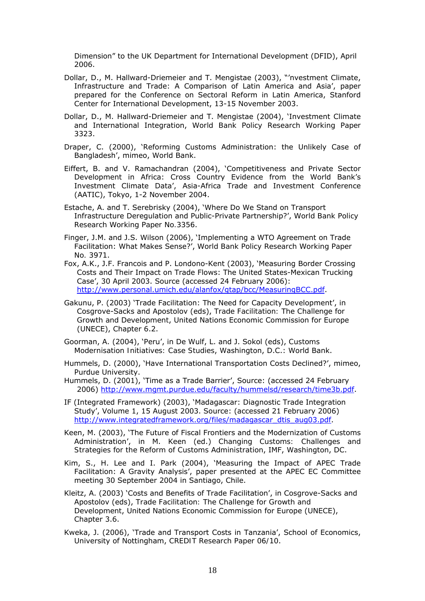Dimension" to the UK Department for International Development (DFID), April 2006.

- Dollar, D., M. Hallward-Driemeier and T. Mengistae (2003), "'nvestment Climate, Infrastructure and Trade: A Comparison of Latin America and Asia', paper prepared for the Conference on Sectoral Reform in Latin America, Stanford Center for International Development, 13-15 November 2003.
- Dollar, D., M. Hallward-Driemeier and T. Mengistae (2004), 'Investment Climate and International Integration, *World Bank Policy Research Working Paper 3323*.
- Draper, C. (2000), 'Reforming Customs Administration: the Unlikely Case of Bangladesh', mimeo, World Bank.
- Eiffert, B. and V. Ramachandran (2004), 'Competitiveness and Private Sector Development in Africa: Cross Country Evidence from the World Bank's Investment Climate Data', Asia-Africa Trade and Investment Conference (AATIC), Tokyo, 1-2 November 2004.
- Estache, A. and T. Serebrisky (2004), 'Where Do We Stand on Transport Infrastructure Deregulation and Public-Private Partnership?', *World Bank Policy Research Working Paper No.3356*.
- Finger, J.M. and J.S. Wilson (2006), 'Implementing a WTO Agreement on Trade Facilitation: What Makes Sense?', *World Bank Policy Research Working Paper No. 3971*.
- Fox, A.K., J.F. Francois and P. Londono-Kent (2003), 'Measuring Border Crossing Costs and Their Impact on Trade Flows: The United States-Mexican Trucking Case', 30 April 2003. Source (accessed 24 February 2006): http://www.personal.umich.edu/alanfox/gtap/bcc/MeasuringBCC.pdf.
- Gakunu, P. (2003) 'Trade Facilitation: The Need for Capacity Development', in Cosgrove-Sacks and Apostolov (eds), *Trade Facilitation: The Challenge for Growth and Development*, United Nations Economic Commission for Europe (UNECE), Chapter 6.2.
- Goorman, A. (2004), 'Peru', in De Wulf, L. and J. Sokol (eds), *Customs Modernisation Initiatives: Case Studies*, Washington, D.C.: World Bank.
- Hummels, D. (2000), 'Have International Transportation Costs Declined?', mimeo, Purdue University.
- Hummels, D. (2001), 'Time as a Trade Barrier', Source: (accessed 24 February 2006) http://www.mgmt.purdue.edu/faculty/hummelsd/research/time3b.pdf.
- IF (Integrated Framework) (2003), 'Madagascar: Diagnostic Trade Integration Study', Volume 1, 15 August 2003. Source: (accessed 21 February 2006) http://www.integratedframework.org/files/madagascar\_dtis\_aug03.pdf.
- Keen, M. (2003), 'The Future of Fiscal Frontiers and the Modernization of Customs Administration', in M. Keen (ed.) *Changing Customs: Challenges and Strategies for the Reform of Customs Administration*, IMF, Washington, DC.
- Kim, S., H. Lee and I. Park (2004), 'Measuring the Impact of APEC Trade Facilitation: A Gravity Analysis', paper presented at the APEC EC Committee meeting 30 September 2004 in Santiago, Chile.
- Kleitz, A. (2003) 'Costs and Benefits of Trade Facilitation', in Cosgrove-Sacks and Apostolov (eds), *Trade Facilitation: The Challenge for Growth and Development*, United Nations Economic Commission for Europe (UNECE), Chapter 3.6.
- Kweka, J. (2006), 'Trade and Transport Costs in Tanzania', School of Economics, University of Nottingham, *CREDIT Research Paper 06/10*.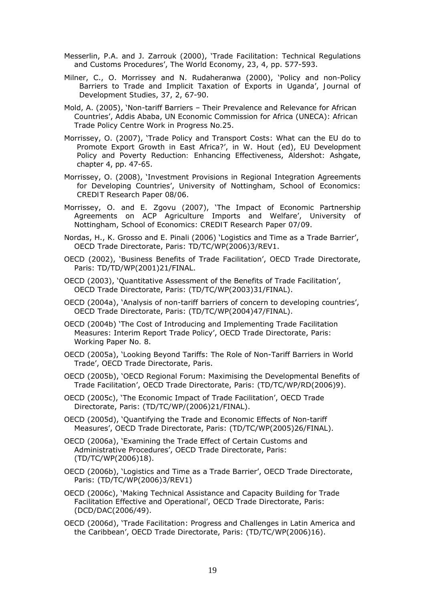- Messerlin, P.A. and J. Zarrouk (2000), 'Trade Facilitation: Technical Regulations and Customs Procedures', *The World Economy*, 23, 4, pp. 577-593.
- Milner, C., O. Morrissey and N. Rudaheranwa (2000), 'Policy and non-Policy Barriers to Trade and Implicit Taxation of Exports in Uganda', *Journal of Development Studies*, 37, 2, 67-90.
- Mold, A. (2005), 'Non-tariff Barriers Their Prevalence and Relevance for African Countries', Addis Ababa, UN Economic Commission for Africa (UNECA): *African Trade Policy Centre Work in Progress No.25*.
- Morrissey, O. (2007), 'Trade Policy and Transport Costs: What can the EU do to Promote Export Growth in East Africa?', in W. Hout (ed), *EU Development Policy and Poverty Reduction: Enhancing Effectiveness*, Aldershot: Ashgate, chapter 4, pp. 47-65.
- Morrissey, O. (2008), 'Investment Provisions in Regional Integration Agreements for Developing Countries', University of Nottingham, School of Economics: *CREDIT Research Paper 08/06*.
- Morrissey, O. and E. Zgovu (2007), 'The Impact of Economic Partnership Agreements on ACP Agriculture Imports and Welfare', University of Nottingham, School of Economics: *CREDIT Research Paper 07/09*.
- Nordas, H., K. Grosso and E. Pinali (2006) 'Logistics and Time as a Trade Barrier', OECD Trade Directorate, Paris: TD/TC/WP(2006)3/REV1.
- OECD (2002), 'Business Benefits of Trade Facilitation', OECD Trade Directorate, Paris: TD/TD/WP(2001)21/FINAL.
- OECD (2003), 'Quantitative Assessment of the Benefits of Trade Facilitation', OECD Trade Directorate, Paris: (TD/TC/WP(2003)31/FINAL).
- OECD (2004a), 'Analysis of non-tariff barriers of concern to developing countries', OECD Trade Directorate, Paris: (TD/TC/WP(2004)47/FINAL).
- OECD (2004b) 'The Cost of Introducing and Implementing Trade Facilitation Measures: Interim Report Trade Policy', OECD Trade Directorate, Paris: *Working Paper No. 8*.
- OECD (2005a), 'Looking Beyond Tariffs: The Role of Non-Tariff Barriers in World Trade', OECD Trade Directorate, Paris.
- OECD (2005b), 'OECD Regional Forum: Maximising the Developmental Benefits of Trade Facilitation', OECD Trade Directorate, Paris: (TD/TC/WP/RD(2006)9).
- OECD (2005c), 'The Economic Impact of Trade Facilitation', OECD Trade Directorate, Paris: (TD/TC/WP/(2006)21/FINAL).
- OECD (2005d), 'Quantifying the Trade and Economic Effects of Non-tariff Measures', OECD Trade Directorate, Paris: (TD/TC/WP(2005)26/FINAL).
- OECD (2006a), 'Examining the Trade Effect of Certain Customs and Administrative Procedures', OECD Trade Directorate, Paris: (TD/TC/WP(2006)18).
- OECD (2006b), 'Logistics and Time as a Trade Barrier', OECD Trade Directorate, Paris: (TD/TC/WP(2006)3/REV1)
- OECD (2006c), 'Making Technical Assistance and Capacity Building for Trade Facilitation Effective and Operational', OECD Trade Directorate, Paris: (DCD/DAC(2006/49).
- OECD (2006d), 'Trade Facilitation: Progress and Challenges in Latin America and the Caribbean', OECD Trade Directorate, Paris: (TD/TC/WP(2006)16).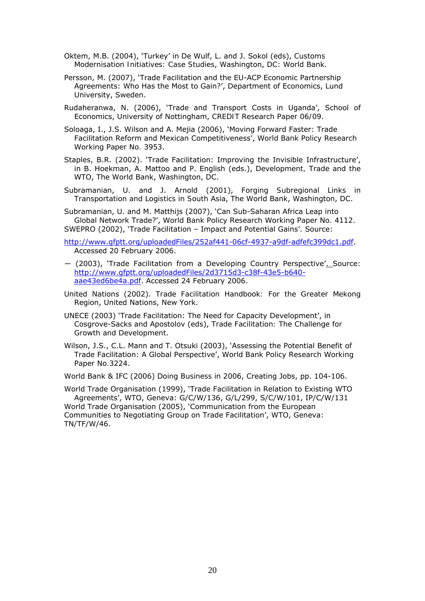- Oktem, M.B. (2004), 'Turkey' in De Wulf, L. and J. Sokol (eds), *Customs Modernisation Initiatives: Case Studies*, Washington, DC: World Bank.
- Persson, M. (2007), 'Trade Facilitation and the EU-ACP Economic Partnership Agreements: Who Has the Most to Gain?', Department of Economics, Lund University, Sweden.
- Rudaheranwa, N. (2006), 'Trade and Transport Costs in Uganda', School of Economics, University of Nottingham, *CREDIT Research Paper 06/09*.
- Soloaga, I., J.S. Wilson and A. Mejia (2006), 'Moving Forward Faster: Trade Facilitation Reform and Mexican Competitiveness', *World Bank Policy Research Working Paper No. 3953*.
- Staples, B.R. (2002). 'Trade Facilitation: Improving the Invisible Infrastructure', in B. Hoekman, A. Mattoo and P. English (eds.), *Development, Trade and the WTO*, The World Bank, Washington, DC.
- Subramanian, U. and J. Arnold (2001), *Forging Subregional Links in Transportation and Logistics in South Asia*, The World Bank, Washington, DC.

Subramanian, U. and M. Matthijs (2007), 'Can Sub-Saharan Africa Leap into Global Network Trade?', *World Bank Policy Research Working Paper No. 4112*. SWEPRO (2002), 'Trade Facilitation – Impact and Potential Gains'. Source:

- http://www.gfptt.org/uploadedFiles/252af441-06cf-4937-a9df-adfefc399dc1.pdf. Accessed 20 February 2006.
- ― (2003), 'Trade Facilitation from a Developing Country Perspective'. Source: http://www.gfptt.org/uploadedFiles/2d3715d3-c38f-43e5-b640 aae43ed6be4a.pdf. Accessed 24 February 2006.
- United Nations (2002). *Trade Facilitation Handbook: For the Greater Mekong Region*, United Nations, New York.
- UNECE (2003) 'Trade Facilitation: The Need for Capacity Development', in Cosgrove-Sacks and Apostolov (eds), *Trade Facilitation: The Challenge for Growth and Development*.
- Wilson, J.S., C.L. Mann and T. Otsuki (2003), 'Assessing the Potential Benefit of Trade Facilitation: A Global Perspective', *World Bank Policy Research Working Paper No.3224*.

World Bank & IFC (2006) *Doing Business in 2006*, Creating Jobs, pp. 104-106.

World Trade Organisation (1999), 'Trade Facilitation in Relation to Existing WTO Agreements', WTO, Geneva: G/C/W/136, G/L/299, S/C/W/101, IP/C/W/131 World Trade Organisation (2005), 'Communication from the European Communities to Negotiating Group on Trade Facilitation', WTO, Geneva: TN/TF/W/46.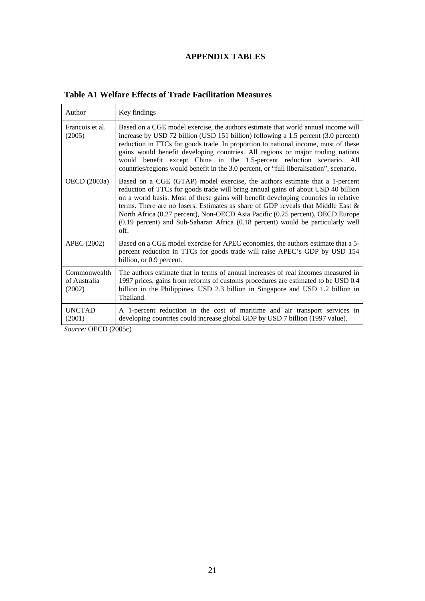# **APPENDIX TABLES**

| Author                                 | Key findings                                                                                                                                                                                                                                                                                                                                                                                                                                                                                                                |
|----------------------------------------|-----------------------------------------------------------------------------------------------------------------------------------------------------------------------------------------------------------------------------------------------------------------------------------------------------------------------------------------------------------------------------------------------------------------------------------------------------------------------------------------------------------------------------|
| Francois et al.<br>(2005)              | Based on a CGE model exercise, the authors estimate that world annual income will<br>increase by USD 72 billion (USD 151 billion) following a 1.5 percent (3.0 percent)<br>reduction in TTCs for goods trade. In proportion to national income, most of these<br>gains would benefit developing countries. All regions or major trading nations<br>would benefit except China in the 1.5-percent reduction scenario. All<br>countries/regions would benefit in the 3.0 percent, or "full liberalisation", scenario.         |
| OECD (2003a)                           | Based on a CGE (GTAP) model exercise, the authors estimate that a 1-percent<br>reduction of TTCs for goods trade will bring annual gains of about USD 40 billion<br>on a world basis. Most of these gains will benefit developing countries in relative<br>terms. There are no losers. Estimates as share of GDP reveals that Middle East $\&$<br>North Africa (0.27 percent), Non-OECD Asia Pacific (0.25 percent), OECD Europe<br>(0.19 percent) and Sub-Saharan Africa (0.18 percent) would be particularly well<br>off. |
| APEC (2002)                            | Based on a CGE model exercise for APEC economies, the authors estimate that a 5-<br>percent reduction in TTCs for goods trade will raise APEC's GDP by USD 154<br>billion, or 0.9 percent.                                                                                                                                                                                                                                                                                                                                  |
| Commonwealth<br>of Australia<br>(2002) | The authors estimate that in terms of annual increases of real incomes measured in<br>1997 prices, gains from reforms of customs procedures are estimated to be USD 0.4<br>billion in the Philippines, USD 2.3 billion in Singapore and USD 1.2 billion in<br>Thailand.                                                                                                                                                                                                                                                     |
| <b>UNCTAD</b><br>(2001)                | A 1-percent reduction in the cost of maritime and air transport services in<br>developing countries could increase global GDP by USD 7 billion (1997 value).                                                                                                                                                                                                                                                                                                                                                                |

## **Table A1 Welfare Effects of Trade Facilitation Measures**

*Source:* OECD (2005c)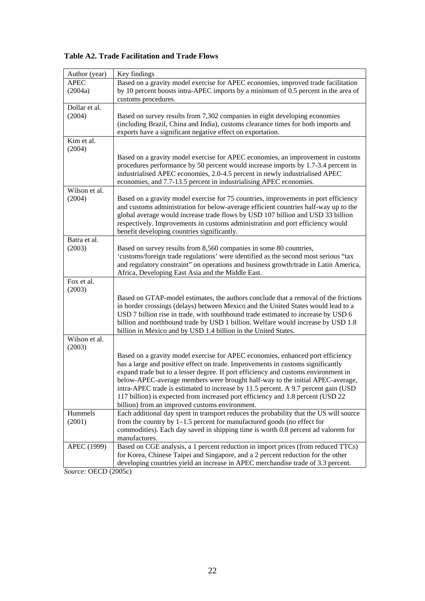| <b>Table A2. Trade Facilitation and Trade Flows</b> |  |  |  |  |  |  |
|-----------------------------------------------------|--|--|--|--|--|--|
|-----------------------------------------------------|--|--|--|--|--|--|

| Author (year)        | Key findings                                                                                                                                                           |
|----------------------|------------------------------------------------------------------------------------------------------------------------------------------------------------------------|
| <b>APEC</b>          | Based on a gravity model exercise for APEC economies, improved trade facilitation                                                                                      |
| (2004a)              | by 10 percent boosts intra-APEC imports by a minimum of 0.5 percent in the area of                                                                                     |
| Dollar et al.        | customs procedures.                                                                                                                                                    |
| (2004)               | Based on survey results from 7,302 companies in eight developing economies                                                                                             |
|                      | (including Brazil, China and India), customs clearance times for both imports and                                                                                      |
|                      | exports have a significant negative effect on exportation.                                                                                                             |
| Kim et al.<br>(2004) |                                                                                                                                                                        |
|                      | Based on a gravity model exercise for APEC economies, an improvement in customs                                                                                        |
|                      | procedures performance by 50 percent would increase imports by 1.7-3.4 percent in                                                                                      |
|                      | industrialised APEC economies, 2.0-4.5 percent in newly industrialised APEC                                                                                            |
|                      | economies, and 7.7-13.5 percent in industrialising APEC economies.                                                                                                     |
| Wilson et al.        |                                                                                                                                                                        |
| (2004)               | Based on a gravity model exercise for 75 countries, improvements in port efficiency                                                                                    |
|                      | and customs administration for below-average efficient countries half-way up to the<br>global average would increase trade flows by USD 107 billion and USD 33 billion |
|                      | respectively. Improvements in customs administration and port efficiency would                                                                                         |
|                      | benefit developing countries significantly.                                                                                                                            |
| Batra et al.         |                                                                                                                                                                        |
| (2003)               | Based on survey results from 8,560 companies in some 80 countries,                                                                                                     |
|                      | 'customs/foreign trade regulations' were identified as the second most serious "tax                                                                                    |
|                      | and regulatory constraint" on operations and business growth/trade in Latin America,                                                                                   |
| Fox et al.           | Africa, Developing East Asia and the Middle East.                                                                                                                      |
| (2003)               |                                                                                                                                                                        |
|                      | Based on GTAP-model estimates, the authors conclude that a removal of the frictions                                                                                    |
|                      | in border crossings (delays) between Mexico and the United States would lead to a                                                                                      |
|                      | USD 7 billion rise in trade, with southbound trade estimated to increase by USD 6                                                                                      |
|                      | billion and northbound trade by USD 1 billion. Welfare would increase by USD 1.8                                                                                       |
| Wilson et al.        | billion in Mexico and by USD 1.4 billion in the United States.                                                                                                         |
| (2003)               |                                                                                                                                                                        |
|                      | Based on a gravity model exercise for APEC economies, enhanced port efficiency                                                                                         |
|                      | has a large and positive effect on trade. Improvements in customs significantly                                                                                        |
|                      | expand trade but to a lesser degree. If port efficiency and customs environment in                                                                                     |
|                      | below-APEC-average members were brought half-way to the initial APEC-average,                                                                                          |
|                      | intra-APEC trade is estimated to increase by 11.5 percent. A 9.7 percent gain (USD                                                                                     |
|                      | 117 billion) is expected from increased port efficiency and 1.8 percent (USD 22<br>billion) from an improved customs environment.                                      |
| Hummels              | Each additional day spent in transport reduces the probability that the US will source                                                                                 |
| (2001)               | from the country by $1-1.5$ percent for manufactured goods (no effect for                                                                                              |
|                      | commodities). Each day saved in shipping time is worth 0.8 percent ad valorem for                                                                                      |
|                      | manufactures.                                                                                                                                                          |
| APEC (1999)          | Based on CGE analysis, a 1 percent reduction in import prices (from reduced TTCs)                                                                                      |
|                      | for Korea, Chinese Taipei and Singapore, and a 2 percent reduction for the other                                                                                       |
|                      | developing countries yield an increase in APEC merchandise trade of 3.3 percent.                                                                                       |

*Source:* OECD (2005c)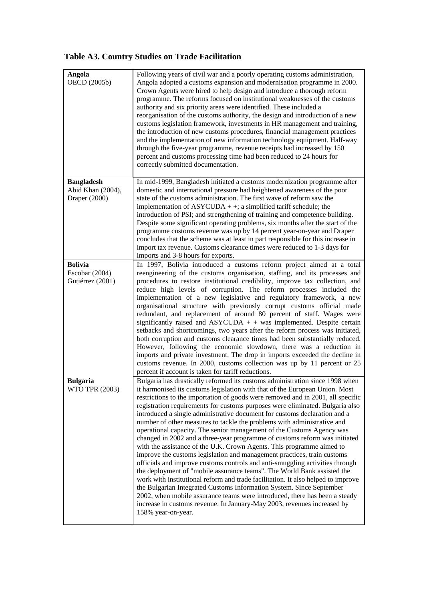# **Table A3. Country Studies on Trade Facilitation**

| Angola<br>OECD (2005b) | Following years of civil war and a poorly operating customs administration,<br>Angola adopted a customs expansion and modernisation programme in 2000.<br>Crown Agents were hired to help design and introduce a thorough reform<br>programme. The reforms focused on institutional weaknesses of the customs<br>authority and six priority areas were identified. These included a<br>reorganisation of the customs authority, the design and introduction of a new<br>customs legislation framework, investments in HR management and training,<br>the introduction of new customs procedures, financial management practices<br>and the implementation of new information technology equipment. Half-way<br>through the five-year programme, revenue receipts had increased by 150<br>percent and customs processing time had been reduced to 24 hours for<br>correctly submitted documentation.           |
|------------------------|---------------------------------------------------------------------------------------------------------------------------------------------------------------------------------------------------------------------------------------------------------------------------------------------------------------------------------------------------------------------------------------------------------------------------------------------------------------------------------------------------------------------------------------------------------------------------------------------------------------------------------------------------------------------------------------------------------------------------------------------------------------------------------------------------------------------------------------------------------------------------------------------------------------|
| <b>Bangladesh</b>      | In mid-1999, Bangladesh initiated a customs modernization programme after                                                                                                                                                                                                                                                                                                                                                                                                                                                                                                                                                                                                                                                                                                                                                                                                                                     |
| Abid Khan (2004),      | domestic and international pressure had heightened awareness of the poor                                                                                                                                                                                                                                                                                                                                                                                                                                                                                                                                                                                                                                                                                                                                                                                                                                      |
| Draper (2000)          | state of the customs administration. The first wave of reform saw the                                                                                                                                                                                                                                                                                                                                                                                                                                                                                                                                                                                                                                                                                                                                                                                                                                         |
|                        | implementation of $ASYCUDA + +$ ; a simplified tariff schedule; the                                                                                                                                                                                                                                                                                                                                                                                                                                                                                                                                                                                                                                                                                                                                                                                                                                           |
|                        | introduction of PSI; and strengthening of training and competence building.                                                                                                                                                                                                                                                                                                                                                                                                                                                                                                                                                                                                                                                                                                                                                                                                                                   |
|                        | Despite some significant operating problems, six months after the start of the                                                                                                                                                                                                                                                                                                                                                                                                                                                                                                                                                                                                                                                                                                                                                                                                                                |
|                        | programme customs revenue was up by 14 percent year-on-year and Draper                                                                                                                                                                                                                                                                                                                                                                                                                                                                                                                                                                                                                                                                                                                                                                                                                                        |
|                        | concludes that the scheme was at least in part responsible for this increase in                                                                                                                                                                                                                                                                                                                                                                                                                                                                                                                                                                                                                                                                                                                                                                                                                               |
|                        | import tax revenue. Customs clearance times were reduced to 1-3 days for                                                                                                                                                                                                                                                                                                                                                                                                                                                                                                                                                                                                                                                                                                                                                                                                                                      |
|                        | imports and 3-8 hours for exports.                                                                                                                                                                                                                                                                                                                                                                                                                                                                                                                                                                                                                                                                                                                                                                                                                                                                            |
| <b>Bolivia</b>         | In 1997, Bolivia introduced a customs reform project aimed at a total                                                                                                                                                                                                                                                                                                                                                                                                                                                                                                                                                                                                                                                                                                                                                                                                                                         |
| Escobar (2004)         | reengineering of the customs organisation, staffing, and its processes and                                                                                                                                                                                                                                                                                                                                                                                                                                                                                                                                                                                                                                                                                                                                                                                                                                    |
| Gutiérrez (2001)       | procedures to restore institutional credibility, improve tax collection, and                                                                                                                                                                                                                                                                                                                                                                                                                                                                                                                                                                                                                                                                                                                                                                                                                                  |
| <b>Bulgaria</b>        | reduce high levels of corruption. The reform processes included the<br>implementation of a new legislative and regulatory framework, a new<br>organisational structure with previously corrupt customs official made<br>redundant, and replacement of around 80 percent of staff. Wages were<br>significantly raised and $ASYCUDA + + was implemented$ . Despite certain<br>setbacks and shortcomings, two years after the reform process was initiated,<br>both corruption and customs clearance times had been substantially reduced.<br>However, following the economic slowdown, there was a reduction in<br>imports and private investment. The drop in imports exceeded the decline in<br>customs revenue. In 2000, customs collection was up by 11 percent or 25<br>percent if account is taken for tariff reductions.<br>Bulgaria has drastically reformed its customs administration since 1998 when |
| WTO TPR (2003)         | it harmonised its customs legislation with that of the European Union. Most                                                                                                                                                                                                                                                                                                                                                                                                                                                                                                                                                                                                                                                                                                                                                                                                                                   |
|                        | restrictions to the importation of goods were removed and in 2001, all specific                                                                                                                                                                                                                                                                                                                                                                                                                                                                                                                                                                                                                                                                                                                                                                                                                               |
|                        | registration requirements for customs purposes were eliminated. Bulgaria also                                                                                                                                                                                                                                                                                                                                                                                                                                                                                                                                                                                                                                                                                                                                                                                                                                 |
|                        | introduced a single administrative document for customs declaration and a                                                                                                                                                                                                                                                                                                                                                                                                                                                                                                                                                                                                                                                                                                                                                                                                                                     |
|                        | number of other measures to tackle the problems with administrative and                                                                                                                                                                                                                                                                                                                                                                                                                                                                                                                                                                                                                                                                                                                                                                                                                                       |
|                        | operational capacity. The senior management of the Customs Agency was                                                                                                                                                                                                                                                                                                                                                                                                                                                                                                                                                                                                                                                                                                                                                                                                                                         |
|                        | changed in 2002 and a three-year programme of customs reform was initiated                                                                                                                                                                                                                                                                                                                                                                                                                                                                                                                                                                                                                                                                                                                                                                                                                                    |
|                        | with the assistance of the U.K. Crown Agents. This programme aimed to<br>improve the customs legislation and management practices, train customs                                                                                                                                                                                                                                                                                                                                                                                                                                                                                                                                                                                                                                                                                                                                                              |
|                        | officials and improve customs controls and anti-smuggling activities through                                                                                                                                                                                                                                                                                                                                                                                                                                                                                                                                                                                                                                                                                                                                                                                                                                  |
|                        | the deployment of "mobile assurance teams". The World Bank assisted the                                                                                                                                                                                                                                                                                                                                                                                                                                                                                                                                                                                                                                                                                                                                                                                                                                       |
|                        | work with institutional reform and trade facilitation. It also helped to improve                                                                                                                                                                                                                                                                                                                                                                                                                                                                                                                                                                                                                                                                                                                                                                                                                              |
|                        | the Bulgarian Integrated Customs Information System. Since September                                                                                                                                                                                                                                                                                                                                                                                                                                                                                                                                                                                                                                                                                                                                                                                                                                          |
|                        | 2002, when mobile assurance teams were introduced, there has been a steady                                                                                                                                                                                                                                                                                                                                                                                                                                                                                                                                                                                                                                                                                                                                                                                                                                    |
|                        | increase in customs revenue. In January-May 2003, revenues increased by                                                                                                                                                                                                                                                                                                                                                                                                                                                                                                                                                                                                                                                                                                                                                                                                                                       |
|                        | 158% year-on-year.                                                                                                                                                                                                                                                                                                                                                                                                                                                                                                                                                                                                                                                                                                                                                                                                                                                                                            |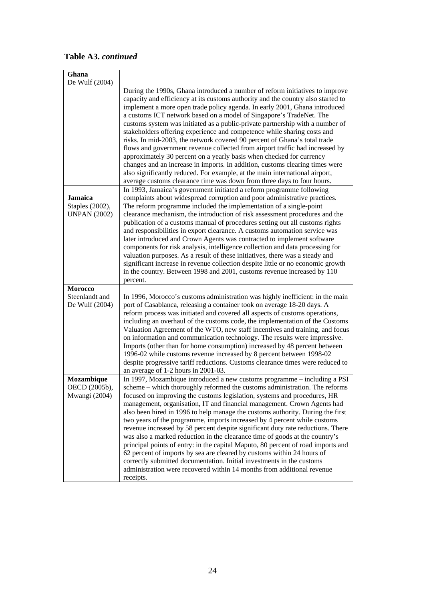| Table A3. continued |  |
|---------------------|--|
|---------------------|--|

| Ghana                                                    |                                                                                                                                                                                                                                                                                                                                                                                                                                                                                                                                                                                                                                                                                                                                                                                                                                                                                                                                                                             |
|----------------------------------------------------------|-----------------------------------------------------------------------------------------------------------------------------------------------------------------------------------------------------------------------------------------------------------------------------------------------------------------------------------------------------------------------------------------------------------------------------------------------------------------------------------------------------------------------------------------------------------------------------------------------------------------------------------------------------------------------------------------------------------------------------------------------------------------------------------------------------------------------------------------------------------------------------------------------------------------------------------------------------------------------------|
| De Wulf (2004)                                           | During the 1990s, Ghana introduced a number of reform initiatives to improve<br>capacity and efficiency at its customs authority and the country also started to<br>implement a more open trade policy agenda. In early 2001, Ghana introduced<br>a customs ICT network based on a model of Singapore's TradeNet. The<br>customs system was initiated as a public-private partnership with a number of<br>stakeholders offering experience and competence while sharing costs and<br>risks. In mid-2003, the network covered 90 percent of Ghana's total trade<br>flows and government revenue collected from airport traffic had increased by<br>approximately 30 percent on a yearly basis when checked for currency<br>changes and an increase in imports. In addition, customs clearing times were<br>also significantly reduced. For example, at the main international airport,<br>average customs clearance time was down from three days to four hours.             |
| <b>Jamaica</b><br>Staples (2002),<br><b>UNPAN (2002)</b> | In 1993, Jamaica's government initiated a reform programme following<br>complaints about widespread corruption and poor administrative practices.<br>The reform programme included the implementation of a single-point<br>clearance mechanism, the introduction of risk assessment procedures and the<br>publication of a customs manual of procedures setting out all customs rights<br>and responsibilities in export clearance. A customs automation service was<br>later introduced and Crown Agents was contracted to implement software<br>components for risk analysis, intelligence collection and data processing for<br>valuation purposes. As a result of these initiatives, there was a steady and<br>significant increase in revenue collection despite little or no economic growth<br>in the country. Between 1998 and 2001, customs revenue increased by 110<br>percent.                                                                                   |
| <b>Morocco</b><br>Steenlandt and<br>De Wulf (2004)       | In 1996, Morocco's customs administration was highly inefficient: in the main<br>port of Casablanca, releasing a container took on average 18-20 days. A<br>reform process was initiated and covered all aspects of customs operations,<br>including an overhaul of the customs code, the implementation of the Customs<br>Valuation Agreement of the WTO, new staff incentives and training, and focus<br>on information and communication technology. The results were impressive.<br>Imports (other than for home consumption) increased by 48 percent between<br>1996-02 while customs revenue increased by 8 percent between 1998-02<br>despite progressive tariff reductions. Customs clearance times were reduced to<br>an average of 1-2 hours in 2001-03.                                                                                                                                                                                                          |
| Mozambique<br>OECD (2005b),<br>Mwangi (2004)             | In 1997, Mozambique introduced a new customs programme - including a PSI<br>scheme - which thoroughly reformed the customs administration. The reforms<br>focused on improving the customs legislation, systems and procedures, HR<br>management, organisation, IT and financial management. Crown Agents had<br>also been hired in 1996 to help manage the customs authority. During the first<br>two years of the programme, imports increased by 4 percent while customs<br>revenue increased by 58 percent despite significant duty rate reductions. There<br>was also a marked reduction in the clearance time of goods at the country's<br>principal points of entry: in the capital Maputo, 80 percent of road imports and<br>62 percent of imports by sea are cleared by customs within 24 hours of<br>correctly submitted documentation. Initial investments in the customs<br>administration were recovered within 14 months from additional revenue<br>receipts. |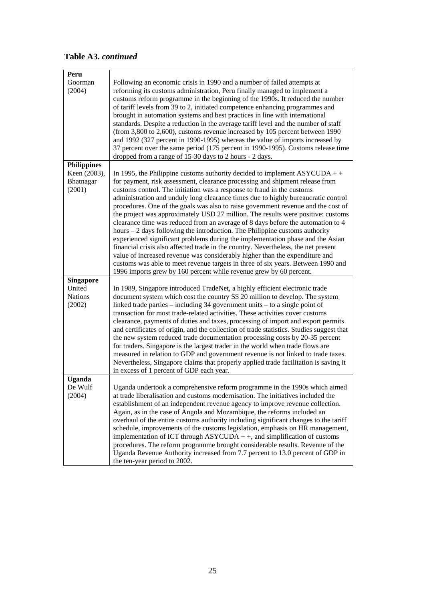# **Table A3.** *continued*

| Peru                                |                                                                                                                                                                                                                                                                                                                                                                                                                                                                                                                                                                                                                                                                                                                                                                                                                                                                                                                                                                                                                                                                                                 |
|-------------------------------------|-------------------------------------------------------------------------------------------------------------------------------------------------------------------------------------------------------------------------------------------------------------------------------------------------------------------------------------------------------------------------------------------------------------------------------------------------------------------------------------------------------------------------------------------------------------------------------------------------------------------------------------------------------------------------------------------------------------------------------------------------------------------------------------------------------------------------------------------------------------------------------------------------------------------------------------------------------------------------------------------------------------------------------------------------------------------------------------------------|
| Goorman<br>(2004)                   | Following an economic crisis in 1990 and a number of failed attempts at<br>reforming its customs administration, Peru finally managed to implement a<br>customs reform programme in the beginning of the 1990s. It reduced the number<br>of tariff levels from 39 to 2, initiated competence enhancing programmes and<br>brought in automation systems and best practices in line with international<br>standards. Despite a reduction in the average tariff level and the number of staff<br>(from 3,800 to 2,600), customs revenue increased by 105 percent between 1990<br>and 1992 (327 percent in 1990-1995) whereas the value of imports increased by<br>37 percent over the same period (175 percent in 1990-1995). Customs release time<br>dropped from a range of 15-30 days to 2 hours - 2 days.                                                                                                                                                                                                                                                                                      |
| <b>Philippines</b>                  |                                                                                                                                                                                                                                                                                                                                                                                                                                                                                                                                                                                                                                                                                                                                                                                                                                                                                                                                                                                                                                                                                                 |
| Keen (2003),<br>Bhatnagar<br>(2001) | In 1995, the Philippine customs authority decided to implement $\text{ASYCUDA} + +$<br>for payment, risk assessment, clearance processing and shipment release from<br>customs control. The initiation was a response to fraud in the customs<br>administration and unduly long clearance times due to highly bureaucratic control<br>procedures. One of the goals was also to raise government revenue and the cost of<br>the project was approximately USD 27 million. The results were positive: customs<br>clearance time was reduced from an average of 8 days before the automation to 4<br>hours $-2$ days following the introduction. The Philippine customs authority<br>experienced significant problems during the implementation phase and the Asian<br>financial crisis also affected trade in the country. Nevertheless, the net present<br>value of increased revenue was considerably higher than the expenditure and<br>customs was able to meet revenue targets in three of six years. Between 1990 and<br>1996 imports grew by 160 percent while revenue grew by 60 percent. |
| <b>Singapore</b>                    |                                                                                                                                                                                                                                                                                                                                                                                                                                                                                                                                                                                                                                                                                                                                                                                                                                                                                                                                                                                                                                                                                                 |
| United<br><b>Nations</b><br>(2002)  | In 1989, Singapore introduced TradeNet, a highly efficient electronic trade<br>document system which cost the country S\$ 20 million to develop. The system<br>linked trade parties $-$ including 34 government units $-$ to a single point of<br>transaction for most trade-related activities. These activities cover customs<br>clearance, payments of duties and taxes, processing of import and export permits<br>and certificates of origin, and the collection of trade statistics. Studies suggest that<br>the new system reduced trade documentation processing costs by 20-35 percent<br>for traders. Singapore is the largest trader in the world when trade flows are<br>measured in relation to GDP and government revenue is not linked to trade taxes.<br>Nevertheless, Singapore claims that properly applied trade facilitation is saving it<br>in excess of 1 percent of GDP each year.                                                                                                                                                                                       |
| <b>Uganda</b>                       |                                                                                                                                                                                                                                                                                                                                                                                                                                                                                                                                                                                                                                                                                                                                                                                                                                                                                                                                                                                                                                                                                                 |
| De Wulf<br>(2004)                   | Uganda undertook a comprehensive reform programme in the 1990s which aimed<br>at trade liberalisation and customs modernisation. The initiatives included the<br>establishment of an independent revenue agency to improve revenue collection.<br>Again, as in the case of Angola and Mozambique, the reforms included an<br>overhaul of the entire customs authority including significant changes to the tariff<br>schedule, improvements of the customs legislation, emphasis on HR management,<br>implementation of ICT through $ASYCUDA + +$ , and simplification of customs<br>procedures. The reform programme brought considerable results. Revenue of the<br>Uganda Revenue Authority increased from 7.7 percent to 13.0 percent of GDP in<br>the ten-year period to 2002.                                                                                                                                                                                                                                                                                                             |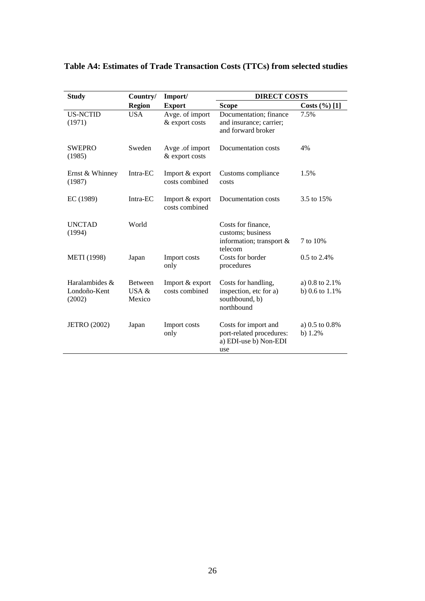| <b>Study</b>                             | Country/<br>Import/                  |                                   | <b>DIRECT COSTS</b>                                                              |                                       |
|------------------------------------------|--------------------------------------|-----------------------------------|----------------------------------------------------------------------------------|---------------------------------------|
|                                          | <b>Region</b>                        | <b>Export</b>                     | <b>Scope</b>                                                                     | Costs $(\%)[1]$                       |
| <b>US-NCTID</b><br>(1971)                | <b>USA</b>                           | Avge. of import<br>& export costs | Documentation; finance<br>and insurance; carrier;<br>and forward broker          | 7.5%                                  |
| <b>SWEPRO</b><br>(1985)                  | Sweden                               | Avge .of import<br>& export costs | Documentation costs                                                              | 4%                                    |
| Ernst & Whinney<br>(1987)                | Intra-EC                             | Import & export<br>costs combined | Customs compliance<br>costs                                                      | 1.5%                                  |
| EC (1989)                                | Intra-EC                             | Import & export<br>costs combined | Documentation costs                                                              | 3.5 to 15%                            |
| <b>UNCTAD</b><br>(1994)                  | World                                |                                   | Costs for finance,<br>customs; business<br>information; transport $\&$           | 7 to 10%                              |
| <b>METI</b> (1998)                       | Japan                                | Import costs<br>only              | telecom<br>Costs for border<br>procedures                                        | 0.5 to 2.4%                           |
| Haralambides &<br>Londoño-Kent<br>(2002) | <b>Between</b><br>USA $\&$<br>Mexico | Import & export<br>costs combined | Costs for handling,<br>inspection, etc for a)<br>southbound, b)<br>northbound    | a) 0.8 to 2.1%<br>b) $0.6$ to $1.1\%$ |
| <b>JETRO</b> (2002)                      | Japan                                | Import costs<br>only              | Costs for import and<br>port-related procedures:<br>a) EDI-use b) Non-EDI<br>use | a) 0.5 to 0.8%<br>b) $1.2%$           |

## **Table A4: Estimates of Trade Transaction Costs (TTCs) from selected studies**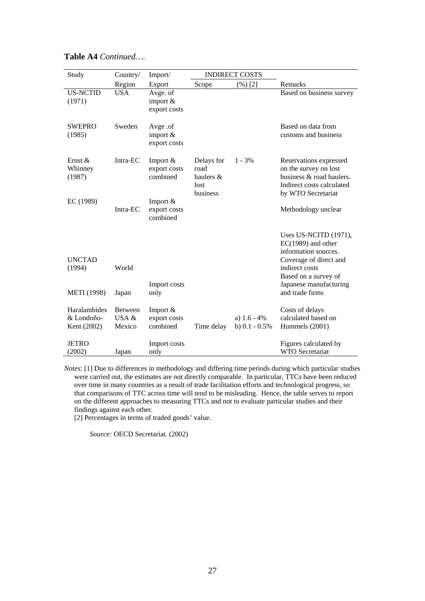| Study                                     | Country/                          | Import/                              |                                                     | <b>INDIRECT COSTS</b>              |                                                                                                                                           |
|-------------------------------------------|-----------------------------------|--------------------------------------|-----------------------------------------------------|------------------------------------|-------------------------------------------------------------------------------------------------------------------------------------------|
|                                           | Region                            | Export                               | Scope                                               | (%) [2]                            | Remarks                                                                                                                                   |
| <b>US-NCTID</b><br>(1971)                 | <b>USA</b>                        | Avge. of<br>import &<br>export costs |                                                     |                                    | Based on business survey                                                                                                                  |
| <b>SWEPRO</b><br>(1985)                   | Sweden                            | Avge .of<br>import &<br>export costs |                                                     |                                    | Based on data from<br>customs and business                                                                                                |
| Ernst &<br>Whinney<br>(1987)              | Intra-EC                          | Import &<br>export costs<br>combined | Delays for<br>road<br>haulers &<br>lost<br>business | $1 - 3\%$                          | Reservations expressed<br>on the survey on lost<br>business & road haulers.<br>Indirect costs calculated<br>by WTO Secretariat            |
| EC (1989)                                 | Intra-EC                          | Import &<br>export costs<br>combined |                                                     |                                    | Methodology unclear                                                                                                                       |
| <b>UNCTAD</b><br>(1994)                   | World                             |                                      |                                                     |                                    | Uses US-NCITD (1971),<br>$EC(1989)$ and other<br>information sources.<br>Coverage of direct and<br>indirect costs<br>Based on a survey of |
| <b>METI</b> (1998)                        | Japan                             | Import costs<br>only                 |                                                     |                                    | Japanese manufacturing<br>and trade firms                                                                                                 |
| Haralambides<br>& Londoño-<br>Kent (2002) | <b>Between</b><br>USA &<br>Mexico | Import &<br>export costs<br>combined | Time delay                                          | a) $1.6 - 4\%$<br>b) $0.1 - 0.5\%$ | Costs of delays<br>calculated based on<br>Hummels (2001)                                                                                  |
| <b>JETRO</b><br>(2002)                    | Japan                             | Import costs<br>only                 |                                                     |                                    | Figures calculated by<br><b>WTO</b> Secretariat                                                                                           |

#### **Table A4** *Continued….*

*Notes*: [1] Due to differences in methodology and differing time periods during which particular studies were carried out, the estimates are not directly comparable. In particular, TTCs have been reduced over time in many countries as a result of trade facilitation efforts and technological progress, so that comparisons of TTC across time will tend to be misleading. Hence, the table serves to report on the different approaches to measuring TTCs and not to evaluate particular studies and their findings against each other.

[2] Percentages in terms of traded goods' value.

*Source:* OECD Secretariat. (2002)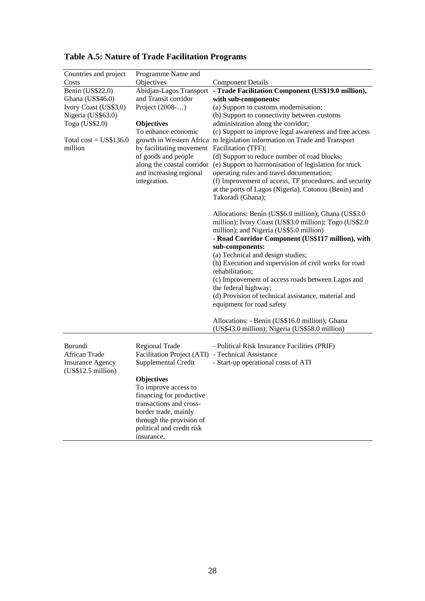| Countries and project                                                     | Programme Name and                                                                                                                                                                              |                                                                                                                                                                                                                                                                                                                                                                                                                                                                                                                                                                       |
|---------------------------------------------------------------------------|-------------------------------------------------------------------------------------------------------------------------------------------------------------------------------------------------|-----------------------------------------------------------------------------------------------------------------------------------------------------------------------------------------------------------------------------------------------------------------------------------------------------------------------------------------------------------------------------------------------------------------------------------------------------------------------------------------------------------------------------------------------------------------------|
| Costs                                                                     | Objectives                                                                                                                                                                                      | <b>Component Details</b>                                                                                                                                                                                                                                                                                                                                                                                                                                                                                                                                              |
| Benin (US\$22.0)                                                          | Abidjan-Lagos Transport                                                                                                                                                                         | - Trade Facilitation Component (US\$19.0 million),                                                                                                                                                                                                                                                                                                                                                                                                                                                                                                                    |
| Ghana (US\$46.0)                                                          | and Transit corridor                                                                                                                                                                            | with sub-components:                                                                                                                                                                                                                                                                                                                                                                                                                                                                                                                                                  |
| Ivory Coast (US\$3.0)                                                     | Project $(2008)$                                                                                                                                                                                | (a) Support to customs modernisation;                                                                                                                                                                                                                                                                                                                                                                                                                                                                                                                                 |
| Nigeria (US\$63.0)                                                        |                                                                                                                                                                                                 | (b) Support to connectivity between customs                                                                                                                                                                                                                                                                                                                                                                                                                                                                                                                           |
| Togo (US\$2.0)                                                            | <b>Objectives</b><br>To enhance economic                                                                                                                                                        | administration along the corridor;                                                                                                                                                                                                                                                                                                                                                                                                                                                                                                                                    |
| Total $cost = US$136.0$<br>million                                        | by facilitating movement Facilitation (TFF);<br>of goods and people<br>along the coastal corridor                                                                                               | (c) Support to improve legal awareness and free access<br>growth in Western Africa to legislation information on Trade and Transport<br>(d) Support to reduce number of road blocks;<br>(e) Support to harmonisation of legislation for truck                                                                                                                                                                                                                                                                                                                         |
|                                                                           | and increasing regional<br>integration.                                                                                                                                                         | operating rules and travel documentation;<br>(f) Improvement of access, TF procedures, and security<br>at the ports of Lagos (Nigeria), Cotonou (Benin) and                                                                                                                                                                                                                                                                                                                                                                                                           |
|                                                                           |                                                                                                                                                                                                 | Takoradi (Ghana);                                                                                                                                                                                                                                                                                                                                                                                                                                                                                                                                                     |
|                                                                           |                                                                                                                                                                                                 | Allocations: Benin (US\$6.0 million); Ghana (US\$3.0<br>million); Ivory Coast (US\$3.0 million); Togo (US\$2.0<br>million); and Nigeria (US\$5.0 million)<br>- Road Corridor Component (US\$117 million), with<br>sub-components:<br>(a) Technical and design studies;<br>(b) Execution and supervision of civil works for road<br>rehabilitation;<br>(c) Improvement of access roads between Lagos and<br>the federal highway;<br>(d) Provision of technical assistance, material and<br>equipment for road safety<br>Allocations: - Benin (US\$16.0 million); Ghana |
|                                                                           |                                                                                                                                                                                                 | (US\$43.0 million); Nigeria (US\$58.0 million)                                                                                                                                                                                                                                                                                                                                                                                                                                                                                                                        |
| Burundi<br>African Trade<br><b>Insurance Agency</b><br>(US\$12.5 million) | Regional Trade<br>Facilitation Project (ATI) - Technical Assistance<br>Supplemental Credit                                                                                                      | - Political Risk Insurance Facilities (PRIF)<br>- Start-up operational costs of ATI                                                                                                                                                                                                                                                                                                                                                                                                                                                                                   |
|                                                                           | <b>Objectives</b><br>To improve access to<br>financing for productive<br>transactions and cross-<br>border trade, mainly<br>through the provision of<br>political and credit risk<br>insurance. |                                                                                                                                                                                                                                                                                                                                                                                                                                                                                                                                                                       |

# **Table A.5: Nature of Trade Facilitation Programs**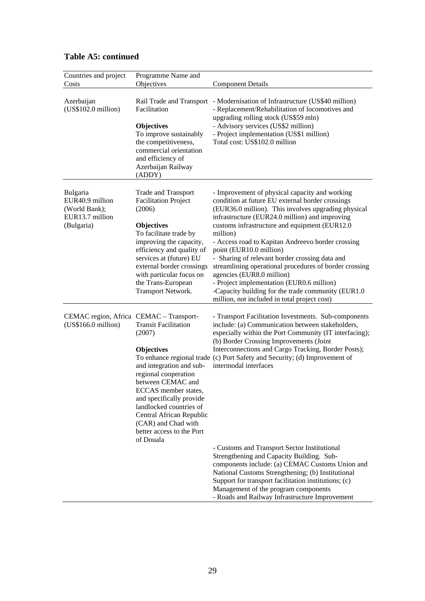| Countries and project<br>Costs                                                | Programme Name and<br>Objectives                                                                                                                                                                                                                                                                                | <b>Component Details</b>                                                                                                                                                                                                                                                                                                                                                                                                                                                                                                                                                                                                                               |
|-------------------------------------------------------------------------------|-----------------------------------------------------------------------------------------------------------------------------------------------------------------------------------------------------------------------------------------------------------------------------------------------------------------|--------------------------------------------------------------------------------------------------------------------------------------------------------------------------------------------------------------------------------------------------------------------------------------------------------------------------------------------------------------------------------------------------------------------------------------------------------------------------------------------------------------------------------------------------------------------------------------------------------------------------------------------------------|
| Azerbaijan<br>(US\$102.0 million)                                             | Rail Trade and Transport<br>Facilitation<br><b>Objectives</b><br>To improve sustainably<br>the competitiveness,<br>commercial orientation<br>and efficiency of<br>Azerbaijan Railway<br>(ADDY)                                                                                                                  | - Modernisation of Infrastructure (US\$40 million)<br>- Replacement/Rehabilitation of locomotives and<br>upgrading rolling stock (US\$59 mln)<br>- Advisory services (US\$2 million)<br>- Project implementation (US\$1 million)<br>Total cost: US\$102.0 million                                                                                                                                                                                                                                                                                                                                                                                      |
| Bulgaria<br>EUR40.9 million<br>(World Bank);<br>EUR13.7 million<br>(Bulgaria) | <b>Trade and Transport</b><br><b>Facilitation Project</b><br>(2006)<br><b>Objectives</b><br>To facilitate trade by<br>improving the capacity,<br>efficiency and quality of<br>services at (future) EU<br>external border crossings<br>with particular focus on<br>the Trans-European<br>Transport Network.      | - Improvement of physical capacity and working<br>condition at future EU external border crossings<br>(EUR36.0 million). This involves upgrading physical<br>infrastructure (EUR24.0 million) and improving<br>customs infrastructure and equipment (EUR12.0)<br>million)<br>- Access road to Kapitan Andreevo border crossing<br>point (EUR10.0 million)<br>- Sharing of relevant border crossing data and<br>streamlining operational procedures of border crossing<br>agencies (EUR8.0 million)<br>- Project implementation (EUR0.6 million)<br>-Capacity building for the trade community (EUR1.0)<br>million, not included in total project cost) |
| CEMAC region, Africa CEMAC - Transport-<br>(US\$166.0 million)                | <b>Transit Facilitation</b><br>(2007)<br><b>Objectives</b><br>and integration and sub-<br>regional cooperation<br>between CEMAC and<br>ECCAS member states,<br>and specifically provide<br>landlocked countries of<br>Central African Republic<br>(CAR) and Chad with<br>better access to the Port<br>of Douala | - Transport Facilitation Investments. Sub-components<br>include: (a) Communication between stakeholders,<br>especially within the Port Community (IT interfacing);<br>(b) Border Crossing Improvements (Joint<br>Interconnections and Cargo Tracking, Border Posts);<br>To enhance regional trade (c) Port Safety and Security; (d) Improvement of<br>intermodal interfaces                                                                                                                                                                                                                                                                            |
|                                                                               |                                                                                                                                                                                                                                                                                                                 | - Customs and Transport Sector Institutional<br>Strengthening and Capacity Building. Sub-<br>components include: (a) CEMAC Customs Union and<br>National Customs Strengthening; (b) Institutional<br>Support for transport facilitation institutions; (c)<br>Management of the program components<br>- Roads and Railway Infrastructure Improvement                                                                                                                                                                                                                                                                                                    |

# **Table A5: continued**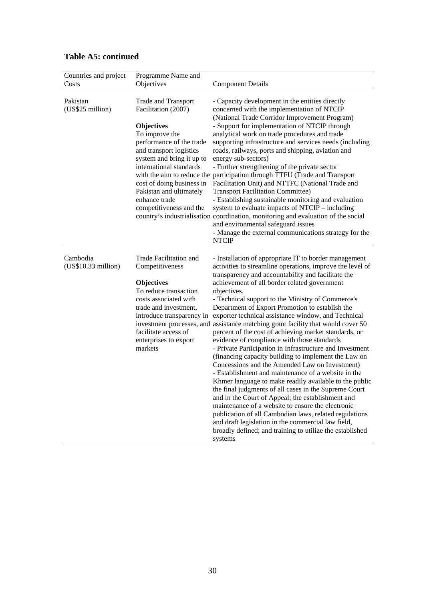| Countries and project           | Programme Name and                                                                                                                                                                                                                                     |                                                                                                                                                                                                                                                                                                                                                                                                                                                                                                                                                                                                                                                                                                                                                                                                                                                                                                                                                                                                                                                                                                                                                                                                                                                     |
|---------------------------------|--------------------------------------------------------------------------------------------------------------------------------------------------------------------------------------------------------------------------------------------------------|-----------------------------------------------------------------------------------------------------------------------------------------------------------------------------------------------------------------------------------------------------------------------------------------------------------------------------------------------------------------------------------------------------------------------------------------------------------------------------------------------------------------------------------------------------------------------------------------------------------------------------------------------------------------------------------------------------------------------------------------------------------------------------------------------------------------------------------------------------------------------------------------------------------------------------------------------------------------------------------------------------------------------------------------------------------------------------------------------------------------------------------------------------------------------------------------------------------------------------------------------------|
| Costs                           | Objectives                                                                                                                                                                                                                                             | <b>Component Details</b>                                                                                                                                                                                                                                                                                                                                                                                                                                                                                                                                                                                                                                                                                                                                                                                                                                                                                                                                                                                                                                                                                                                                                                                                                            |
| Pakistan<br>(US\$25 million)    | <b>Trade and Transport</b><br>Facilitation (2007)                                                                                                                                                                                                      | - Capacity development in the entities directly<br>concerned with the implementation of NTCIP<br>(National Trade Corridor Improvement Program)                                                                                                                                                                                                                                                                                                                                                                                                                                                                                                                                                                                                                                                                                                                                                                                                                                                                                                                                                                                                                                                                                                      |
|                                 | <b>Objectives</b><br>To improve the<br>performance of the trade<br>and transport logistics<br>system and bring it up to<br>international standards<br>cost of doing business in<br>Pakistan and ultimately<br>enhance trade<br>competitiveness and the | - Support for implementation of NTCIP through<br>analytical work on trade procedures and trade<br>supporting infrastructure and services needs (including<br>roads, railways, ports and shipping, aviation and<br>energy sub-sectors)<br>- Further strengthening of the private sector<br>with the aim to reduce the participation through TTFU (Trade and Transport<br>Facilitation Unit) and NTTFC (National Trade and<br><b>Transport Facilitation Committee)</b><br>- Establishing sustainable monitoring and evaluation<br>system to evaluate impacts of NTCIP – including<br>country's industrialisation coordination, monitoring and evaluation of the social<br>and environmental safeguard issues<br>- Manage the external communications strategy for the<br><b>NTCIP</b>                                                                                                                                                                                                                                                                                                                                                                                                                                                                 |
| Cambodia<br>(US\$10.33 million) | <b>Trade Facilitation and</b><br>Competitiveness<br><b>Objectives</b><br>To reduce transaction<br>costs associated with<br>trade and investment,<br>introduce transparency in<br>facilitate access of<br>enterprises to export<br>markets              | - Installation of appropriate IT to border management<br>activities to streamline operations, improve the level of<br>transparency and accountability and facilitate the<br>achievement of all border related government<br>objectives.<br>- Technical support to the Ministry of Commerce's<br>Department of Export Promotion to establish the<br>exporter technical assistance window, and Technical<br>investment processes, and assistance matching grant facility that would cover 50<br>percent of the cost of achieving market standards, or<br>evidence of compliance with those standards<br>- Private Participation in Infrastructure and Investment<br>(financing capacity building to implement the Law on<br>Concessions and the Amended Law on Investment)<br>- Establishment and maintenance of a website in the<br>Khmer language to make readily available to the public<br>the final judgments of all cases in the Supreme Court<br>and in the Court of Appeal; the establishment and<br>maintenance of a website to ensure the electronic<br>publication of all Cambodian laws, related regulations<br>and draft legislation in the commercial law field,<br>broadly defined; and training to utilize the established<br>systems |

# **Table A5: continued**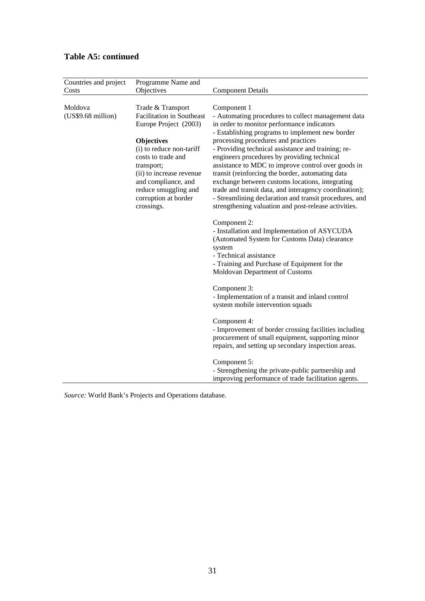| Countries and project<br>Costs | Programme Name and<br>Objectives                                                                                                                                                                                                                                                     | <b>Component Details</b>                                                                                                                                                                                                                                                                                                                                                                                                                                                                                                                                                                                                                                                                                                                                                                                                                                                                                                                                                                                                                                                         |
|--------------------------------|--------------------------------------------------------------------------------------------------------------------------------------------------------------------------------------------------------------------------------------------------------------------------------------|----------------------------------------------------------------------------------------------------------------------------------------------------------------------------------------------------------------------------------------------------------------------------------------------------------------------------------------------------------------------------------------------------------------------------------------------------------------------------------------------------------------------------------------------------------------------------------------------------------------------------------------------------------------------------------------------------------------------------------------------------------------------------------------------------------------------------------------------------------------------------------------------------------------------------------------------------------------------------------------------------------------------------------------------------------------------------------|
| Moldova<br>(US\$9.68 million)  | Trade & Transport<br><b>Facilitation in Southeast</b><br>Europe Project (2003)<br><b>Objectives</b><br>(i) to reduce non-tariff<br>costs to trade and<br>transport;<br>(ii) to increase revenue<br>and compliance, and<br>reduce smuggling and<br>corruption at border<br>crossings. | Component 1<br>- Automating procedures to collect management data<br>in order to monitor performance indicators<br>- Establishing programs to implement new border<br>processing procedures and practices<br>- Providing technical assistance and training; re-<br>engineers procedures by providing technical<br>assistance to MDC to improve control over goods in<br>transit (reinforcing the border, automating data<br>exchange between customs locations, integrating<br>trade and transit data, and interagency coordination);<br>- Streamlining declaration and transit procedures, and<br>strengthening valuation and post-release activities.<br>Component 2:<br>- Installation and Implementation of ASYCUDA<br>(Automated System for Customs Data) clearance<br>system<br>- Technical assistance<br>- Training and Purchase of Equipment for the<br>Moldovan Department of Customs<br>Component 3:<br>- Implementation of a transit and inland control<br>system mobile intervention squads<br>Component 4:<br>- Improvement of border crossing facilities including |
|                                |                                                                                                                                                                                                                                                                                      | procurement of small equipment, supporting minor<br>repairs, and setting up secondary inspection areas.                                                                                                                                                                                                                                                                                                                                                                                                                                                                                                                                                                                                                                                                                                                                                                                                                                                                                                                                                                          |
|                                |                                                                                                                                                                                                                                                                                      | Component 5:<br>- Strengthening the private-public partnership and<br>improving performance of trade facilitation agents.                                                                                                                                                                                                                                                                                                                                                                                                                                                                                                                                                                                                                                                                                                                                                                                                                                                                                                                                                        |

## **Table A5: continued**

*Source:* World Bank's Projects and Operations database*.*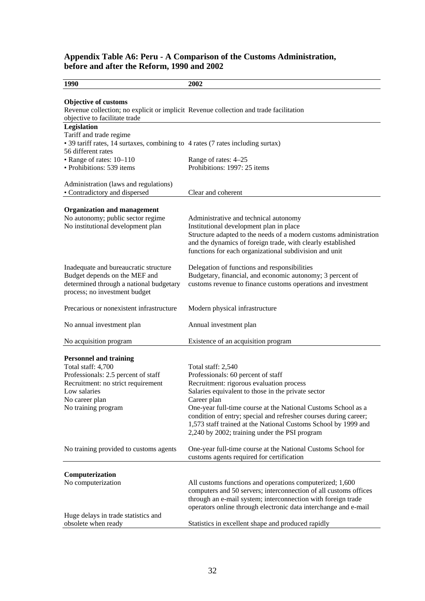#### **Appendix Table A6: Peru - A Comparison of the Customs Administration, before and after the Reform, 1990 and 2002**

| 1990                                                                                                                                                  | 2002                                                                                                                                                                                                                                                                |
|-------------------------------------------------------------------------------------------------------------------------------------------------------|---------------------------------------------------------------------------------------------------------------------------------------------------------------------------------------------------------------------------------------------------------------------|
|                                                                                                                                                       |                                                                                                                                                                                                                                                                     |
| <b>Objective of customs</b><br>Revenue collection; no explicit or implicit Revenue collection and trade facilitation<br>objective to facilitate trade |                                                                                                                                                                                                                                                                     |
| <b>Legislation</b><br>Tariff and trade regime<br>• 39 tariff rates, 14 surtaxes, combining to 4 rates (7 rates including surtax)                      |                                                                                                                                                                                                                                                                     |
| 56 different rates<br>• Range of rates: 10-110<br>• Prohibitions: 539 items                                                                           | Range of rates: 4-25<br>Prohibitions: 1997: 25 items                                                                                                                                                                                                                |
| Administration (laws and regulations)                                                                                                                 |                                                                                                                                                                                                                                                                     |
| • Contradictory and dispersed                                                                                                                         | Clear and coherent                                                                                                                                                                                                                                                  |
| <b>Organization and management</b><br>No autonomy; public sector regime<br>No institutional development plan                                          | Administrative and technical autonomy<br>Institutional development plan in place<br>Structure adapted to the needs of a modern customs administration<br>and the dynamics of foreign trade, with clearly established                                                |
|                                                                                                                                                       | functions for each organizational subdivision and unit                                                                                                                                                                                                              |
| Inadequate and bureaucratic structure<br>Budget depends on the MEF and<br>determined through a national budgetary<br>process; no investment budget    | Delegation of functions and responsibilities<br>Budgetary, financial, and economic autonomy; 3 percent of<br>customs revenue to finance customs operations and investment                                                                                           |
| Precarious or nonexistent infrastructure                                                                                                              | Modern physical infrastructure                                                                                                                                                                                                                                      |
| No annual investment plan                                                                                                                             | Annual investment plan                                                                                                                                                                                                                                              |
| No acquisition program                                                                                                                                | Existence of an acquisition program                                                                                                                                                                                                                                 |
| <b>Personnel and training</b><br>Total staff: 4,700                                                                                                   | Total staff: 2,540                                                                                                                                                                                                                                                  |
| Professionals: 2.5 percent of staff<br>Recruitment: no strict requirement<br>Low salaries                                                             | Professionals: 60 percent of staff<br>Recruitment: rigorous evaluation process<br>Salaries equivalent to those in the private sector                                                                                                                                |
| No career plan<br>No training program                                                                                                                 | Career plan<br>One-year full-time course at the National Customs School as a<br>condition of entry; special and refresher courses during career;<br>1,573 staff trained at the National Customs School by 1999 and<br>2,240 by 2002; training under the PSI program |
| No training provided to customs agents                                                                                                                | One-year full-time course at the National Customs School for<br>customs agents required for certification                                                                                                                                                           |
|                                                                                                                                                       |                                                                                                                                                                                                                                                                     |
| Computerization<br>No computerization                                                                                                                 | All customs functions and operations computerized; 1,600<br>computers and 50 servers; interconnection of all customs offices<br>through an e-mail system; interconnection with foreign trade<br>operators online through electronic data interchange and e-mail     |
| Huge delays in trade statistics and<br>obsolete when ready                                                                                            | Statistics in excellent shape and produced rapidly                                                                                                                                                                                                                  |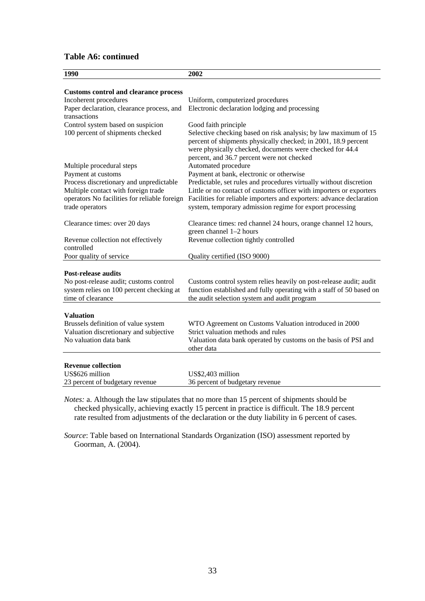#### **Table A6: continued**

| 1990                                         | 2002                                                                                                                              |
|----------------------------------------------|-----------------------------------------------------------------------------------------------------------------------------------|
|                                              |                                                                                                                                   |
| <b>Customs control and clearance process</b> |                                                                                                                                   |
| Incoherent procedures                        | Uniform, computerized procedures                                                                                                  |
| Paper declaration, clearance process, and    | Electronic declaration lodging and processing                                                                                     |
| transactions                                 |                                                                                                                                   |
| Control system based on suspicion            | Good faith principle                                                                                                              |
| 100 percent of shipments checked             | Selective checking based on risk analysis; by law maximum of 15<br>percent of shipments physically checked; in 2001, 18.9 percent |
|                                              | were physically checked, documents were checked for 44.4                                                                          |
|                                              | percent, and 36.7 percent were not checked                                                                                        |
| Multiple procedural steps                    | Automated procedure                                                                                                               |
| Payment at customs                           | Payment at bank, electronic or otherwise                                                                                          |
| Process discretionary and unpredictable      | Predictable, set rules and procedures virtually without discretion                                                                |
| Multiple contact with foreign trade          | Little or no contact of customs officer with importers or exporters                                                               |
| operators No facilities for reliable foreign | Facilities for reliable importers and exporters: advance declaration                                                              |
| trade operators                              | system, temporary admission regime for export processing                                                                          |
| Clearance times: over 20 days                | Clearance times: red channel 24 hours, orange channel 12 hours,                                                                   |
|                                              | green channel 1-2 hours                                                                                                           |
| Revenue collection not effectively           | Revenue collection tightly controlled                                                                                             |
| controlled                                   |                                                                                                                                   |
| Poor quality of service                      | Quality certified (ISO 9000)                                                                                                      |
| <b>Post-release audits</b>                   |                                                                                                                                   |
| No post-release audit; customs control       | Customs control system relies heavily on post-release audit; audit                                                                |
| system relies on 100 percent checking at     | function established and fully operating with a staff of 50 based on                                                              |
| time of clearance                            | the audit selection system and audit program                                                                                      |
|                                              |                                                                                                                                   |
| <b>Valuation</b>                             |                                                                                                                                   |
| Brussels definition of value system          | WTO Agreement on Customs Valuation introduced in 2000                                                                             |
| Valuation discretionary and subjective       | Strict valuation methods and rules                                                                                                |
| No valuation data bank                       | Valuation data bank operated by customs on the basis of PSI and<br>other data                                                     |
| <b>Revenue collection</b>                    |                                                                                                                                   |
| US\$626 million                              | US\$2,403 million                                                                                                                 |
| 23 percent of budgetary revenue              | 36 percent of budgetary revenue                                                                                                   |
|                                              |                                                                                                                                   |

*Notes:* a. Although the law stipulates that no more than 15 percent of shipments should be checked physically, achieving exactly 15 percent in practice is difficult. The 18.9 percent rate resulted from adjustments of the declaration or the duty liability in 6 percent of cases.

*Source*: Table based on International Standards Organization (ISO) assessment reported by Goorman, A. (2004).